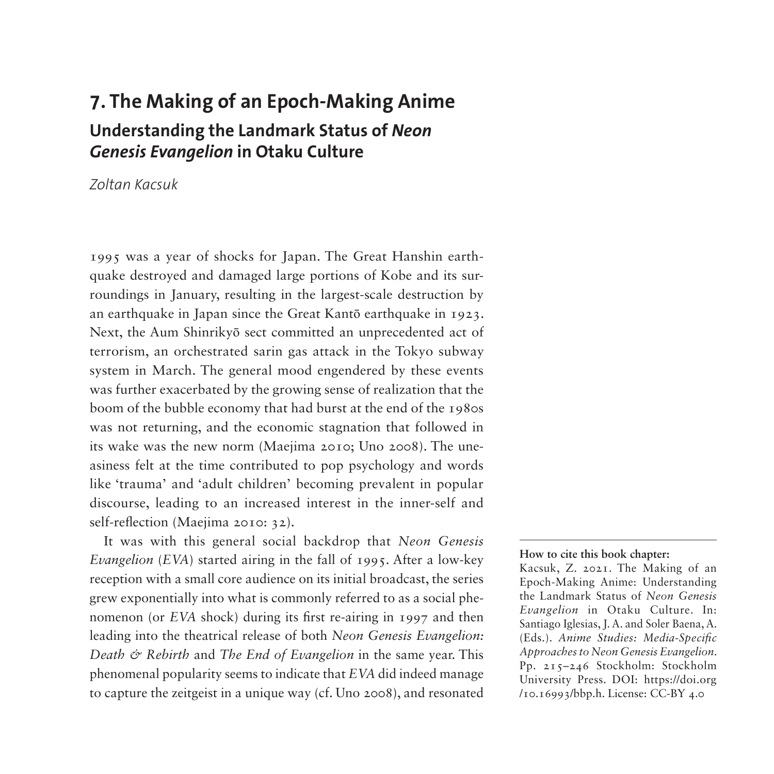# **7. The Making of an Epoch-Making Anime Understanding the Landmark Status of** *Neon Genesis Evangelion* **in Otaku Culture**

*Zoltan Kacsuk*

1995 was a year of shocks for Japan. The Great Hanshin earthquake destroyed and damaged large portions of Kobe and its surroundings in January, resulting in the largest-scale destruction by an earthquake in Japan since the Great Kantō earthquake in 1923. Next, the Aum Shinrikyō sect committed an unprecedented act of terrorism, an orchestrated sarin gas attack in the Tokyo subway system in March. The general mood engendered by these events was further exacerbated by the growing sense of realization that the boom of the bubble economy that had burst at the end of the 1980s was not returning, and the economic stagnation that followed in its wake was the new norm (Maejima 2010; Uno 2008). The uneasiness felt at the time contributed to pop psychology and words like 'trauma' and 'adult children' becoming prevalent in popular discourse, leading to an increased interest in the inner-self and self-reflection (Maejima 2010: 32).

It was with this general social backdrop that *Neon Genesis Evangelion* (*EVA*) started airing in the fall of 1995. After a low-key reception with a small core audience on its initial broadcast, the series grew exponentially into what is commonly referred to as a social phenomenon (or *EVA* shock) during its first re-airing in 1997 and then leading into the theatrical release of both *Neon Genesis Evangelion: Death & Rebirth* and *The End of Evangelion* in the same year. This phenomenal popularity seems to indicate that *EVA* did indeed manage to capture the zeitgeist in a unique way (cf. Uno 2008), and resonated

#### **How to cite this book chapter:**

Kacsuk, Z. 2021. The Making of an Epoch-Making Anime: Understanding the Landmark Status of *Neon Genesis Evangelion* in Otaku Culture. In: Santiago Iglesias, J. A. and Soler Baena, A. (Eds.). *Anime Studies: Media-Specific Approaches to Neon Genesis Evangelion*. Pp. 215–246 Stockholm: Stockholm University Press. DOI: [https://doi.org](https://doi.org/10.16993/bbp.h) [/10.16993/bbp.h](https://doi.org/10.16993/bbp.h). License: CC-BY 4.0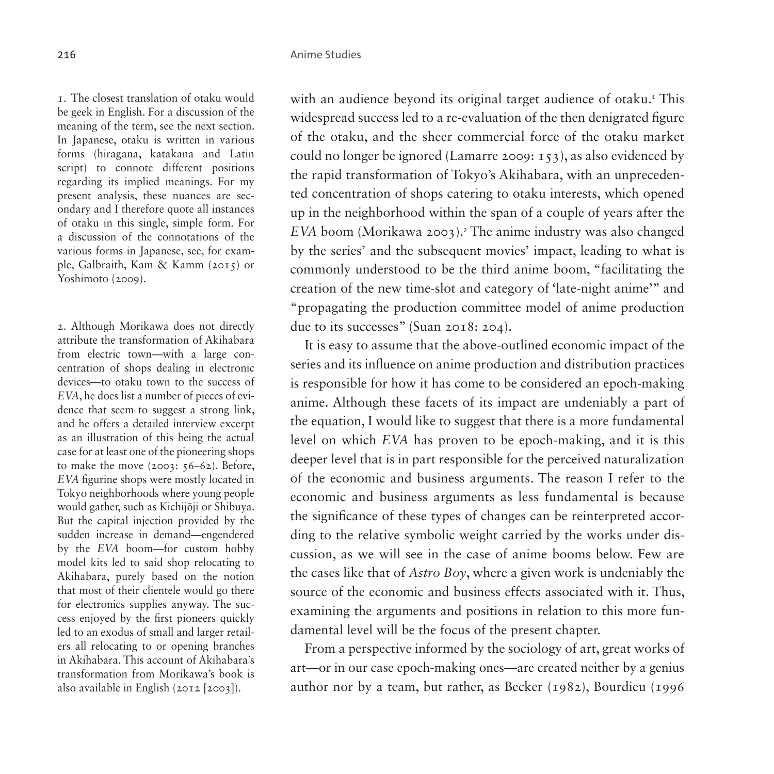<span id="page-1-0"></span>1. The closest translation of otaku would be geek in English. For a discussion of the meaning of the term, see the next section. In Japanese, otaku is written in various forms (hiragana, katakana and Latin script) to connote different positions regarding its implied meanings. For my present analysis, these nuances are secondary and I therefore quote all instances of otaku in this single, simple form. For a discussion of the connotations of the various forms in Japanese, see, for example, Galbraith, Kam & Kamm (2015) or Yoshimoto (2009).

<span id="page-1-1"></span>2. Although Morikawa does not directly attribute the transformation of Akihabara from electric town—with a large concentration of shops dealing in electronic devices—to otaku town to the success of *EVA*, he does list a number of pieces of evidence that seem to suggest a strong link, and he offers a detailed interview excerpt as an illustration of this being the actual case for at least one of the pioneering shops to make the move  $(2003: 56-62)$ . Before, *EVA* figurine shops were mostly located in Tokyo neighborhoods where young people would gather, such as Kichijōji or Shibuya. But the capital injection provided by the sudden increase in demand—engendered by the *EVA* boom—for custom hobby model kits led to said shop relocating to Akihabara, purely based on the notion that most of their clientele would go there for electronics supplies anyway. The success enjoyed by the first pioneers quickly led to an exodus of small and larger retailers all relocating to or opening branches in Akihabara. This account of Akihabara's transformation from Morikawa's book is also available in English (2012 [2003]).

with an audience beyond its original target audience of otaku.<sup>[1](#page-1-0)</sup> This widespread success led to a re-evaluation of the then denigrated figure of the otaku, and the sheer commercial force of the otaku market could no longer be ignored (Lamarre 2009: 153), as also evidenced by the rapid transformation of Tokyo's Akihabara, with an unprecedented concentration of shops catering to otaku interests, which opened up in the neighborhood within the span of a couple of years after the *EVA* boom (Morikawa [2](#page-1-1)003).<sup>2</sup> The anime industry was also changed by the series' and the subsequent movies' impact, leading to what is commonly understood to be the third anime boom, "facilitating the creation of the new time-slot and category of 'late-night anime'" and "propagating the production committee model of anime production due to its successes" (Suan 2018: 204).

It is easy to assume that the above-outlined economic impact of the series and its influence on anime production and distribution practices is responsible for how it has come to be considered an epoch-making anime. Although these facets of its impact are undeniably a part of the equation, I would like to suggest that there is a more fundamental level on which *EVA* has proven to be epoch-making, and it is this deeper level that is in part responsible for the perceived naturalization of the economic and business arguments. The reason I refer to the economic and business arguments as less fundamental is because the significance of these types of changes can be reinterpreted according to the relative symbolic weight carried by the works under discussion, as we will see in the case of anime booms below. Few are the cases like that of *Astro Boy*, where a given work is undeniably the source of the economic and business effects associated with it. Thus, examining the arguments and positions in relation to this more fundamental level will be the focus of the present chapter.

From a perspective informed by the sociology of art, great works of art—or in our case epoch-making ones—are created neither by a genius author nor by a team, but rather, as Becker (1982), Bourdieu (1996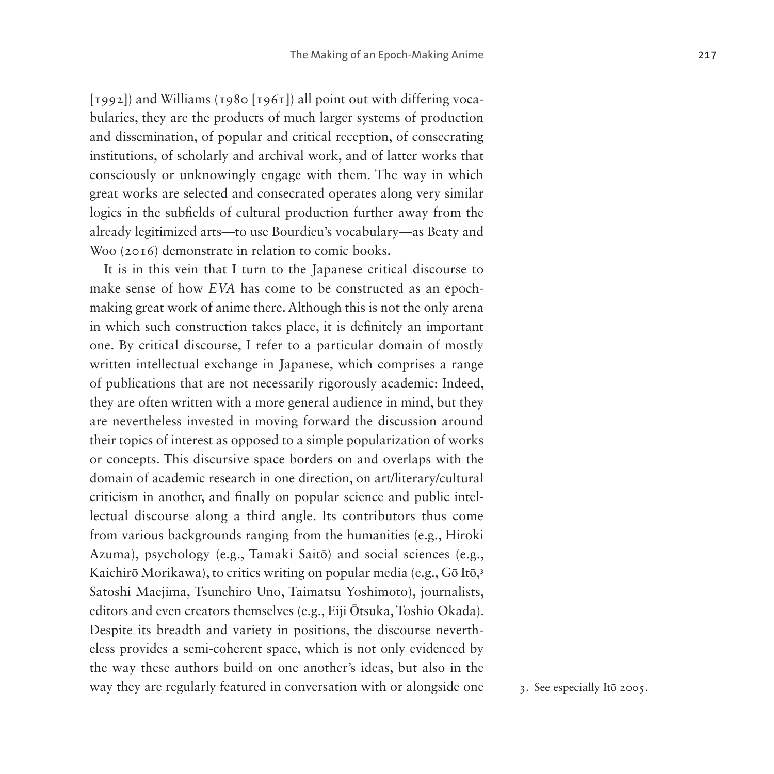[1992]) and Williams (1980 [1961]) all point out with differing vocabularies, they are the products of much larger systems of production and dissemination, of popular and critical reception, of consecrating institutions, of scholarly and archival work, and of latter works that consciously or unknowingly engage with them. The way in which great works are selected and consecrated operates along very similar logics in the subfields of cultural production further away from the already legitimized arts—to use Bourdieu's vocabulary—as Beaty and Woo (2016) demonstrate in relation to comic books.

It is in this vein that I turn to the Japanese critical discourse to make sense of how *EVA* has come to be constructed as an epochmaking great work of anime there. Although this is not the only arena in which such construction takes place, it is definitely an important one. By critical discourse, I refer to a particular domain of mostly written intellectual exchange in Japanese, which comprises a range of publications that are not necessarily rigorously academic: Indeed, they are often written with a more general audience in mind, but they are nevertheless invested in moving forward the discussion around their topics of interest as opposed to a simple popularization of works or concepts. This discursive space borders on and overlaps with the domain of academic research in one direction, on art/literary/cultural criticism in another, and finally on popular science and public intellectual discourse along a third angle. Its contributors thus come from various backgrounds ranging from the humanities (e.g., Hiroki Azuma), psychology (e.g., Tamaki Saitō) and social sciences (e.g., Kaichirō Morikawa), to critics writing on popular media (e.g., Gō Itō, [3](#page-2-0) Satoshi Maejima, Tsunehiro Uno, Taimatsu Yoshimoto), journalists, editors and even creators themselves (e.g., Eiji Ōtsuka, Toshio Okada). Despite its breadth and variety in positions, the discourse nevertheless provides a semi-coherent space, which is not only evidenced by the way these authors build on one another's ideas, but also in the way they are regularly featured in conversation with or alongside one  $\frac{3}{3}$ . See especially Itō 2005.

<span id="page-2-0"></span>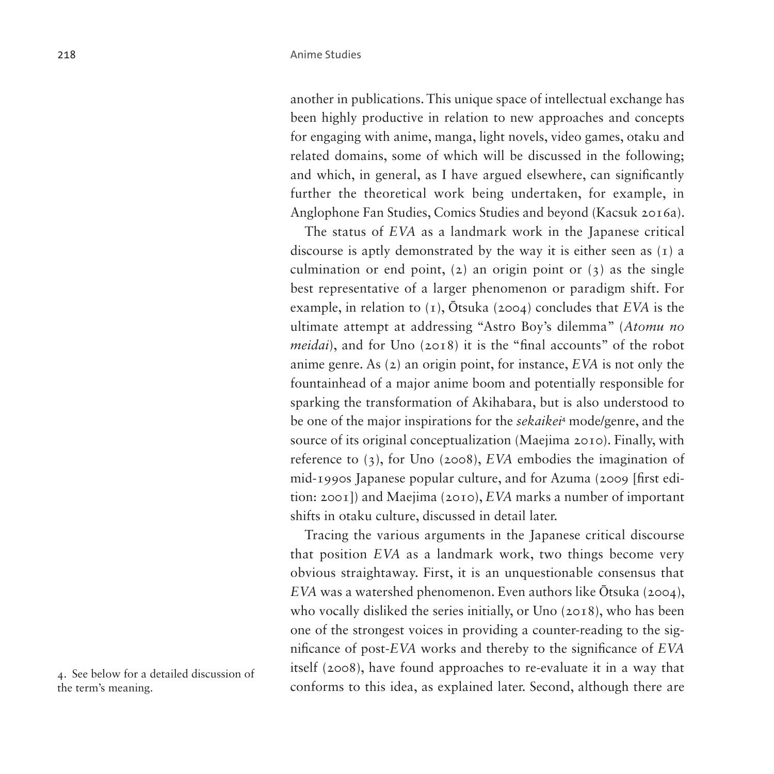another in publications. This unique space of intellectual exchange has been highly productive in relation to new approaches and concepts for engaging with anime, manga, light novels, video games, otaku and related domains, some of which will be discussed in the following; and which, in general, as I have argued elsewhere, can significantly further the theoretical work being undertaken, for example, in Anglophone Fan Studies, Comics Studies and beyond (Kacsuk 2016a).

The status of *EVA* as a landmark work in the Japanese critical discourse is aptly demonstrated by the way it is either seen as (1) a culmination or end point, (2) an origin point or  $(3)$  as the single best representative of a larger phenomenon or paradigm shift. For example, in relation to (1), Ōtsuka (2004) concludes that *EVA* is the ultimate attempt at addressing "Astro Boy's dilemma" (*Atomu no meidai*), and for Uno (2018) it is the "final accounts" of the robot anime genre. As (2) an origin point, for instance, *EVA* is not only the fountainhead of a major anime boom and potentially responsible for sparking the transformation of Akihabara, but is also understood to be one of the major inspirations for the *sekaikei*[4](#page-3-0) mode/genre, and the source of its original conceptualization (Maejima 2010). Finally, with reference to (3), for Uno (2008), *EVA* embodies the imagination of mid-1990s Japanese popular culture, and for Azuma (2009 [first edition: 2001]) and Maejima (2010), *EVA* marks a number of important shifts in otaku culture, discussed in detail later.

Tracing the various arguments in the Japanese critical discourse that position *EVA* as a landmark work, two things become very obvious straightaway. First, it is an unquestionable consensus that *EVA* was a watershed phenomenon. Even authors like Ōtsuka (2004), who vocally disliked the series initially, or Uno (2018), who has been one of the strongest voices in providing a counter-reading to the significance of post-*EVA* works and thereby to the significance of *EVA* itself (2008), have found approaches to re-evaluate it in a way that conforms to this idea, as explained later. Second, although there are

<span id="page-3-0"></span>4. See below for a detailed discussion of the term's meaning.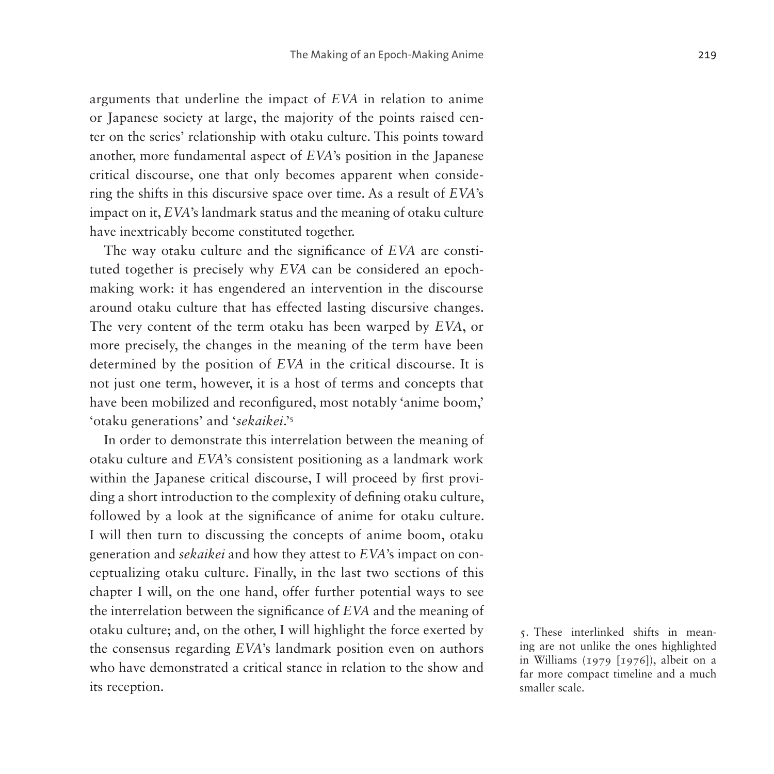arguments that underline the impact of *EVA* in relation to anime or Japanese society at large, the majority of the points raised center on the series' relationship with otaku culture. This points toward another, more fundamental aspect of *EVA*'s position in the Japanese critical discourse, one that only becomes apparent when considering the shifts in this discursive space over time. As a result of *EVA*'s impact on it, *EVA*'s landmark status and the meaning of otaku culture have inextricably become constituted together.

The way otaku culture and the significance of *EVA* are constituted together is precisely why *EVA* can be considered an epochmaking work: it has engendered an intervention in the discourse around otaku culture that has effected lasting discursive changes. The very content of the term otaku has been warped by *EVA*, or more precisely, the changes in the meaning of the term have been determined by the position of *EVA* in the critical discourse. It is not just one term, however, it is a host of terms and concepts that have been mobilized and reconfigured, most notably 'anime boom,' 'otaku generations' and '*sekaikei*.'[5](#page-4-0)

In order to demonstrate this interrelation between the meaning of otaku culture and *EVA*'s consistent positioning as a landmark work within the Japanese critical discourse, I will proceed by first providing a short introduction to the complexity of defining otaku culture, followed by a look at the significance of anime for otaku culture. I will then turn to discussing the concepts of anime boom, otaku generation and *sekaikei* and how they attest to *EVA*'s impact on conceptualizing otaku culture. Finally, in the last two sections of this chapter I will, on the one hand, offer further potential ways to see the interrelation between the significance of *EVA* and the meaning of otaku culture; and, on the other, I will highlight the force exerted by the consensus regarding *EVA*'s landmark position even on authors who have demonstrated a critical stance in relation to the show and its reception.

<span id="page-4-0"></span>5. These interlinked shifts in meaning are not unlike the ones highlighted in Williams (1979 [1976]), albeit on a far more compact timeline and a much smaller scale.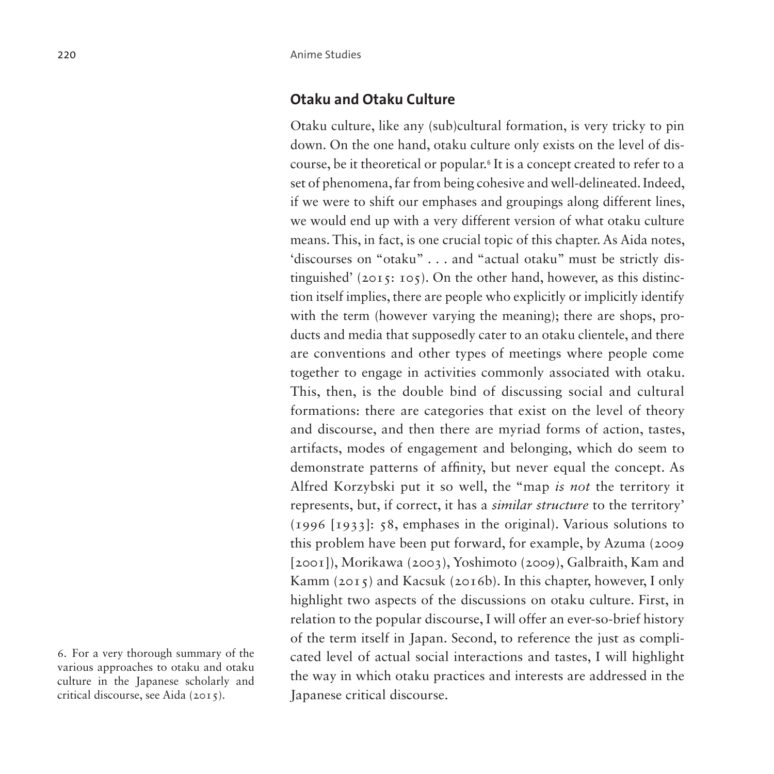### **Otaku and Otaku Culture**

Otaku culture, like any (sub)cultural formation, is very tricky to pin down. On the one hand, otaku culture only exists on the level of discourse, be it theoretical or popular.[6](#page-5-0) It is a concept created to refer to a set of phenomena, far from being cohesive and well-delineated. Indeed, if we were to shift our emphases and groupings along different lines, we would end up with a very different version of what otaku culture means. This, in fact, is one crucial topic of this chapter. As Aida notes, 'discourses on "otaku" . . . and "actual otaku" must be strictly distinguished' ( $2015$ :  $105$ ). On the other hand, however, as this distinction itself implies, there are people who explicitly or implicitly identify with the term (however varying the meaning); there are shops, products and media that supposedly cater to an otaku clientele, and there are conventions and other types of meetings where people come together to engage in activities commonly associated with otaku. This, then, is the double bind of discussing social and cultural formations: there are categories that exist on the level of theory and discourse, and then there are myriad forms of action, tastes, artifacts, modes of engagement and belonging, which do seem to demonstrate patterns of affinity, but never equal the concept. As Alfred Korzybski put it so well, the "map *is not* the territory it represents, but, if correct, it has a *similar structure* to the territory' (1996 [1933]: 58, emphases in the original). Various solutions to this problem have been put forward, for example, by Azuma (2009 [2001]), Morikawa (2003), Yoshimoto (2009), Galbraith, Kam and Kamm (2015) and Kacsuk (2016b). In this chapter, however, I only highlight two aspects of the discussions on otaku culture. First, in relation to the popular discourse, I will offer an ever-so-brief history of the term itself in Japan. Second, to reference the just as complicated level of actual social interactions and tastes, I will highlight the way in which otaku practices and interests are addressed in the Japanese critical discourse.

<span id="page-5-0"></span><sup>6.</sup> For a very thorough summary of the various approaches to otaku and otaku culture in the Japanese scholarly and critical discourse, see Aida (2015).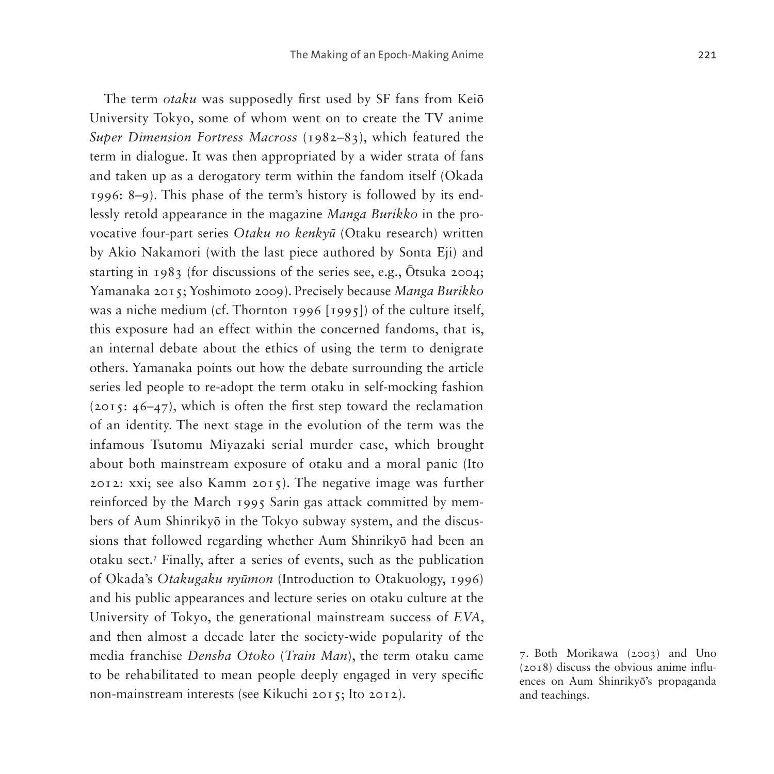The term *otaku* was supposedly first used by SF fans from Keiō University Tokyo, some of whom went on to create the TV anime *Super Dimension Fortress Macross* (1982–83), which featured the term in dialogue. It was then appropriated by a wider strata of fans and taken up as a derogatory term within the fandom itself (Okada 1996: 8–9). This phase of the term's history is followed by its endlessly retold appearance in the magazine *Manga Burikko* in the provocative four-part series *Otaku no kenkyū* (Otaku research) written by Akio Nakamori (with the last piece authored by Sonta Eji) and starting in 1983 (for discussions of the series see, e.g., Ōtsuka 2004; Yamanaka 2015; Yoshimoto 2009). Precisely because *Manga Burikko* was a niche medium (cf. Thornton 1996 [1995]) of the culture itself, this exposure had an effect within the concerned fandoms, that is, an internal debate about the ethics of using the term to denigrate others. Yamanaka points out how the debate surrounding the article series led people to re-adopt the term otaku in self-mocking fashion (2015: 46–47), which is often the first step toward the reclamation of an identity. The next stage in the evolution of the term was the infamous Tsutomu Miyazaki serial murder case, which brought about both mainstream exposure of otaku and a moral panic (Ito 2012: xxi; see also Kamm 2015). The negative image was further reinforced by the March 1995 Sarin gas attack committed by members of Aum Shinrikyō in the Tokyo subway system, and the discussions that followed regarding whether Aum Shinrikyō had been an otaku sect.[7](#page-6-0) Finally, after a series of events, such as the publication of Okada's *Otakugaku nyūmon* (Introduction to Otakuology, 1996) and his public appearances and lecture series on otaku culture at the University of Tokyo, the generational mainstream success of *EVA*, and then almost a decade later the society-wide popularity of the media franchise *Densha Otoko* (*Train Man*), the term otaku came to be rehabilitated to mean people deeply engaged in very specific non-mainstream interests (see Kikuchi 2015; Ito 2012).

<span id="page-6-0"></span><sup>7.</sup> Both Morikawa (2003) and Uno (2018) discuss the obvious anime influences on Aum Shinrikyō's propaganda and teachings.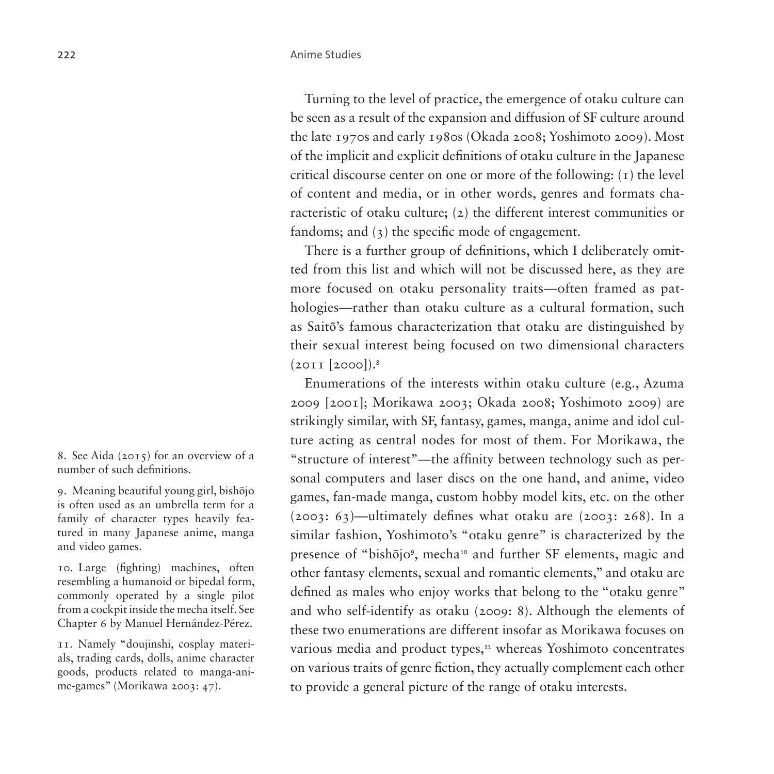Turning to the level of practice, the emergence of otaku culture can be seen as a result of the expansion and diffusion of SF culture around the late 1970s and early 1980s (Okada 2008; Yoshimoto 2009). Most of the implicit and explicit definitions of otaku culture in the Japanese critical discourse center on one or more of the following:  $(1)$  the level of content and media, or in other words, genres and formats characteristic of otaku culture; (2) the different interest communities or fandoms; and (3) the specific mode of engagement.

There is a further group of definitions, which I deliberately omitted from this list and which will not be discussed here, as they are more focused on otaku personality traits—often framed as pathologies—rather than otaku culture as a cultural formation, such as Saitō's famous characterization that otaku are distinguished by their sexual interest being focused on two dimensional characters  $(2011 [2000]).$ <sup>[8](#page-7-0)</sup>

Enumerations of the interests within otaku culture (e.g., Azuma 2009 [2001]; Morikawa 2003; Okada 2008; Yoshimoto 2009) are strikingly similar, with SF, fantasy, games, manga, anime and idol culture acting as central nodes for most of them. For Morikawa, the "structure of interest"—the affinity between technology such as personal computers and laser discs on the one hand, and anime, video games, fan-made manga, custom hobby model kits, etc. on the other (2003: 63)—ultimately defines what otaku are (2003: 268). In a similar fashion, Yoshimoto's "otaku genre" is characterized by the presence of "bishōjo", mecha<sup>[10](#page-7-2)</sup> and further SF elements, magic and other fantasy elements, sexual and romantic elements," and otaku are defined as males who enjoy works that belong to the "otaku genre" and who self-identify as otaku (2009: 8). Although the elements of these two enumerations are different insofar as Morikawa focuses on various media and product types,<sup>[11](#page-7-3)</sup> whereas Yoshimoto concentrates on various traits of genre fiction, they actually complement each other to provide a general picture of the range of otaku interests.

<span id="page-7-0"></span>8. See Aida (2015) for an overview of a number of such definitions.

<span id="page-7-1"></span>9. Meaning beautiful young girl, bishōjo is often used as an umbrella term for a family of character types heavily featured in many Japanese anime, manga and video games.

<span id="page-7-2"></span>10. Large (fighting) machines, often resembling a humanoid or bipedal form, commonly operated by a single pilot from a cockpit inside the mecha itself. See Chapter 6 by Manuel Hernández-Pérez.

<span id="page-7-3"></span>11. Namely "doujinshi, cosplay materials, trading cards, dolls, anime character goods, products related to manga-anime-games" (Morikawa 2003: 47).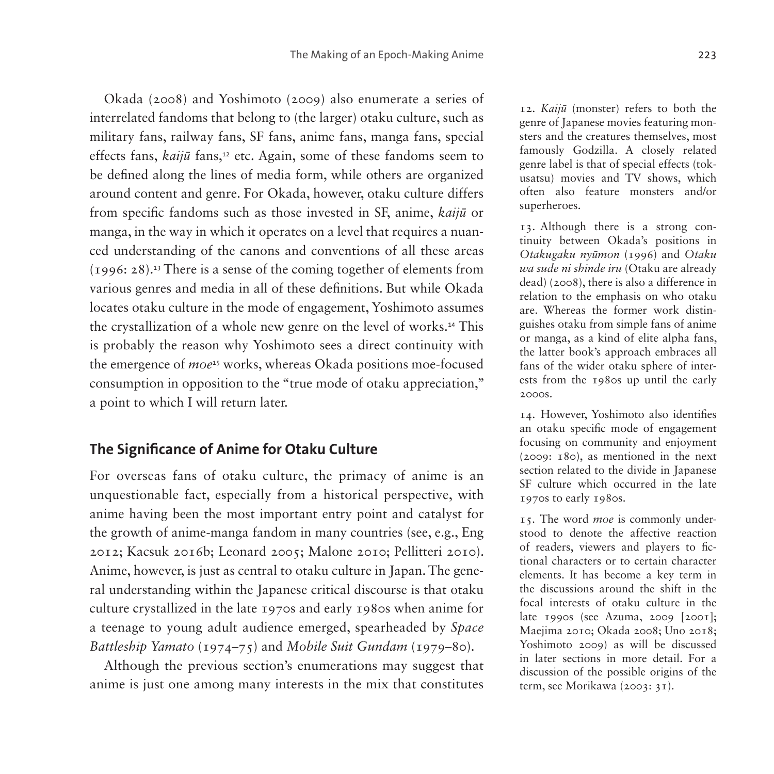Okada (2008) and Yoshimoto (2009) also enumerate a series of interrelated fandoms that belong to (the larger) otaku culture, such as military fans, railway fans, SF fans, anime fans, manga fans, special effects fans, *kaijū* fans,<sup>[12](#page-8-0)</sup> etc. Again, some of these fandoms seem to be defined along the lines of media form, while others are organized around content and genre. For Okada, however, otaku culture differs from specific fandoms such as those invested in SF, anime, *kaijū* or manga, in the way in which it operates on a level that requires a nuanced understanding of the canons and conventions of all these areas (1996: 28).[13](#page-8-1) There is a sense of the coming together of elements from various genres and media in all of these definitions. But while Okada locates otaku culture in the mode of engagement, Yoshimoto assumes the crystallization of a whole new genre on the level of works.[14](#page-8-2) This is probably the reason why Yoshimoto sees a direct continuity with the emergence of *moe*[15](#page-8-3) works, whereas Okada positions moe-focused consumption in opposition to the "true mode of otaku appreciation," a point to which I will return later.

### **The Significance of Anime for Otaku Culture**

For overseas fans of otaku culture, the primacy of anime is an unquestionable fact, especially from a historical perspective, with anime having been the most important entry point and catalyst for the growth of anime-manga fandom in many countries (see, e.g., Eng 2012; Kacsuk 2016b; Leonard 2005; Malone 2010; Pellitteri 2010). Anime, however, is just as central to otaku culture in Japan. The general understanding within the Japanese critical discourse is that otaku culture crystallized in the late 1970s and early 1980s when anime for a teenage to young adult audience emerged, spearheaded by *Space Battleship Yamato* (1974–75) and *Mobile Suit Gundam* (1979–80).

Although the previous section's enumerations may suggest that anime is just one among many interests in the mix that constitutes

<span id="page-8-0"></span>12. *Kaijū* (monster) refers to both the genre of Japanese movies featuring monsters and the creatures themselves, most famously Godzilla. A closely related genre label is that of special effects (tokusatsu) movies and TV shows, which often also feature monsters and/or superheroes.

<span id="page-8-1"></span>13. Although there is a strong continuity between Okada's positions in *Otakugaku nyūmon* (1996) and *Otaku wa sude ni shinde iru* (Otaku are already dead) (2008), there is also a difference in relation to the emphasis on who otaku are. Whereas the former work distinguishes otaku from simple fans of anime or manga, as a kind of elite alpha fans, the latter book's approach embraces all fans of the wider otaku sphere of interests from the 1980s up until the early 2000s.

<span id="page-8-2"></span>14. However, Yoshimoto also identifies an otaku specific mode of engagement focusing on community and enjoyment (2009: 180), as mentioned in the next section related to the divide in Japanese SF culture which occurred in the late 1970s to early 1980s.

<span id="page-8-3"></span>15. The word *moe* is commonly understood to denote the affective reaction of readers, viewers and players to fictional characters or to certain character elements. It has become a key term in the discussions around the shift in the focal interests of otaku culture in the late 1990s (see Azuma, 2009 [2001]; Maejima 2010; Okada 2008; Uno 2018; Yoshimoto 2009) as will be discussed in later sections in more detail. For a discussion of the possible origins of the term, see Morikawa (2003: 31).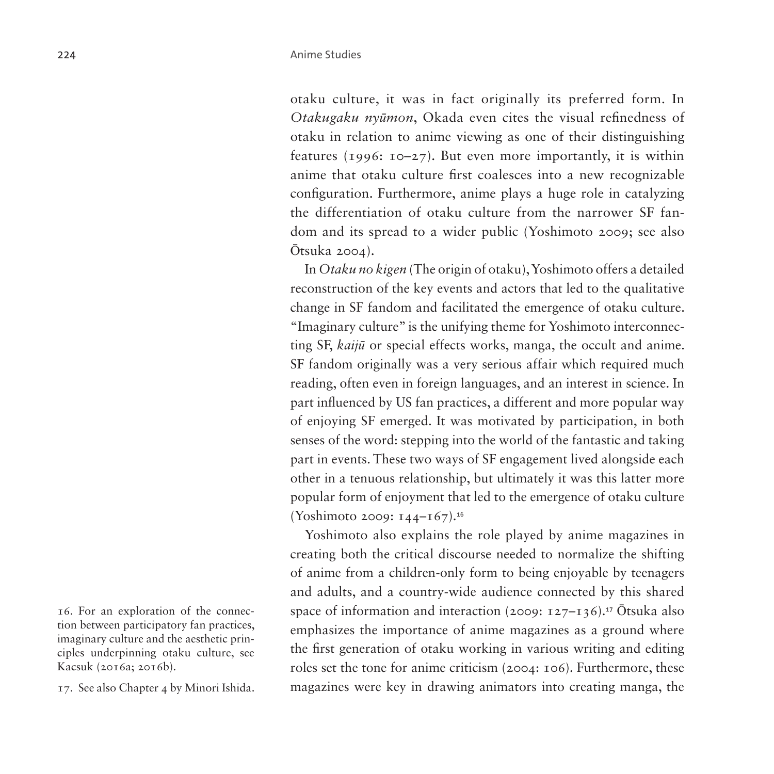otaku culture, it was in fact originally its preferred form. In *Otakugaku nyūmon*, Okada even cites the visual refinedness of otaku in relation to anime viewing as one of their distinguishing features (1996:  $10-27$ ). But even more importantly, it is within anime that otaku culture first coalesces into a new recognizable configuration. Furthermore, anime plays a huge role in catalyzing the differentiation of otaku culture from the narrower SF fandom and its spread to a wider public (Yoshimoto 2009; see also Ōtsuka 2004).

In *Otaku no kigen* (The origin of otaku), Yoshimoto offers a detailed reconstruction of the key events and actors that led to the qualitative change in SF fandom and facilitated the emergence of otaku culture. "Imaginary culture" is the unifying theme for Yoshimoto interconnecting SF, *kaijū* or special effects works, manga, the occult and anime. SF fandom originally was a very serious affair which required much reading, often even in foreign languages, and an interest in science. In part influenced by US fan practices, a different and more popular way of enjoying SF emerged. It was motivated by participation, in both senses of the word: stepping into the world of the fantastic and taking part in events. These two ways of SF engagement lived alongside each other in a tenuous relationship, but ultimately it was this latter more popular form of enjoyment that led to the emergence of otaku culture (Yoshimoto 2009: 144–167).[16](#page-9-0)

Yoshimoto also explains the role played by anime magazines in creating both the critical discourse needed to normalize the shifting of anime from a children-only form to being enjoyable by teenagers and adults, and a country-wide audience connected by this shared space of information and interaction (2009:  $127-136$ ).<sup>[17](#page-9-1)</sup> Ōtsuka also emphasizes the importance of anime magazines as a ground where the first generation of otaku working in various writing and editing roles set the tone for anime criticism (2004: 106). Furthermore, these magazines were key in drawing animators into creating manga, the

<span id="page-9-0"></span>16. For an exploration of the connection between participatory fan practices, imaginary culture and the aesthetic principles underpinning otaku culture, see Kacsuk (2016a; 2016b).

<span id="page-9-1"></span>17. See also Chapter 4 by Minori Ishida.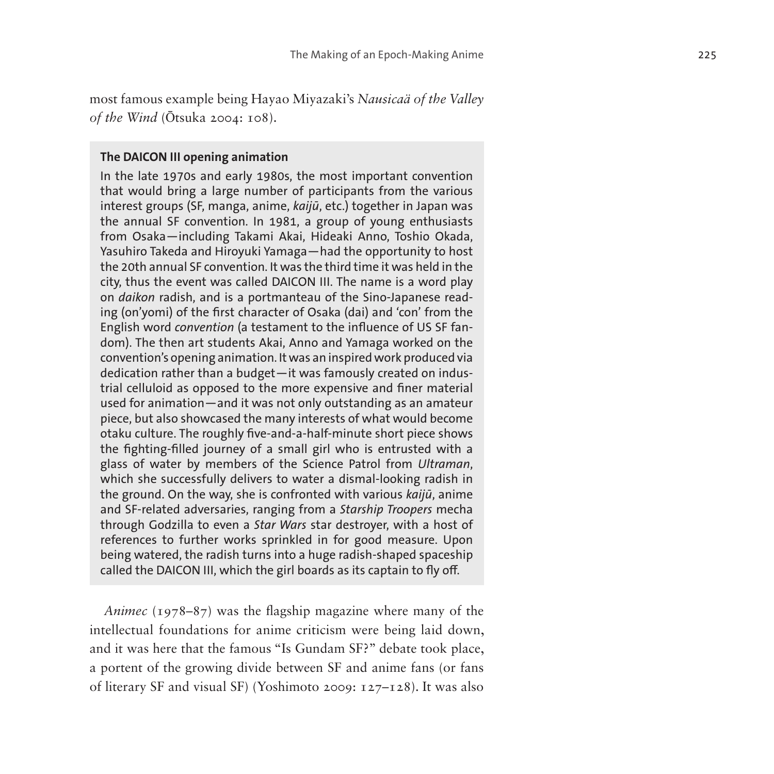most famous example being Hayao Miyazaki's *Nausicaä of the Valley of the Wind* ( Ōtsuka 2004: 108).

#### **The DAICON III opening animation**

In the late 1970s and early 1980s, the most important convention that would bring a large number of participants from the various interest groups (SF, manga, anime, *kaijū*, etc.) together in Japan was the annual SF convention. In 1981, a group of young enthusiasts from Osaka—including Takami Akai, Hideaki Anno, Toshio Okada, Yasuhiro Takeda and Hiroyuki Yamaga—had the opportunity to host the 20th annual SF convention. It was the third time it was held in the city, thus the event was called DAICON III. The name is a word play on *daikon* radish, and is a portmanteau of the Sino-Japanese read ing (on'yomi) of the first character of Osaka (dai) and 'con' from the English word *convention* (a testament to the influence of US SF fan dom). The then art students Akai, Anno and Yamaga worked on the convention's opening animation. It was an inspired work produced via dedication rather than a budget—it was famously created on indus trial celluloid as opposed to the more expensive and finer material used for animation—and it was not only outstanding as an amateur piece, but also showcased the many interests of what would become otaku culture. The roughly five-and-a-half-minute short piece shows the fighting-filled journey of a small girl who is entrusted with a glass of water by members of the Science Patrol from *Ultraman*, which she successfully delivers to water a dismal-looking radish in the ground. On the way, she is confronted with various *kaijū*, anime and SF-related adversaries, ranging from a *Starship Troopers* mecha through Godzilla to even a *Star Wars* star destroyer, with a host of references to further works sprinkled in for good measure. Upon being watered, the radish turns into a huge radish-shaped spaceship called the DAICON III, which the girl boards as its captain to fly off.

*Animec* (1978–87) was the flagship magazine where many of the intellectual foundations for anime criticism were being laid down, and it was here that the famous "Is Gundam SF?" debate took place, a portent of the growing divide between SF and anime fans (or fans of literary SF and visual SF) (Yoshimoto 2009: 127–128). It was also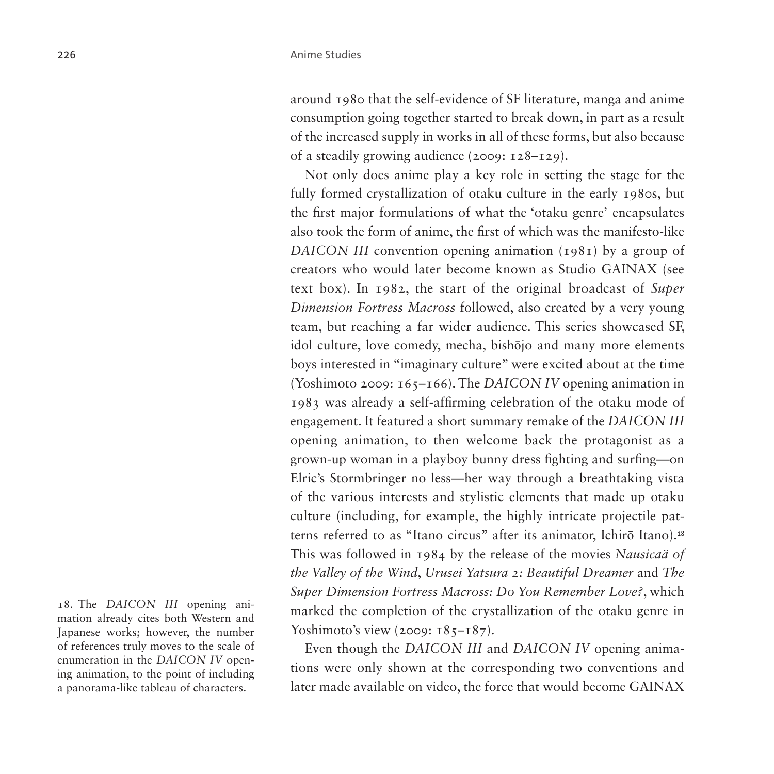around 1980 that the self-evidence of SF literature, manga and anime consumption going together started to break down, in part as a result of the increased supply in works in all of these forms, but also because of a steadily growing audience (2009: 128–129).

Not only does anime play a key role in setting the stage for the fully formed crystallization of otaku culture in the early 1980s, but the first major formulations of what the 'otaku genre' encapsulates also took the form of anime, the first of which was the manifesto-like *DAICON III* convention opening animation (1981) by a group of creators who would later become known as Studio GAINAX (see text box). In 1982, the start of the original broadcast of *Super Dimension Fortress Macross* followed, also created by a very young team, but reaching a far wider audience. This series showcased SF, idol culture, love comedy, mecha, bishōjo and many more elements boys interested in "imaginary culture" were excited about at the time (Yoshimoto 2009: 165–166). The *DAICON IV* opening animation in 1983 was already a self-affirming celebration of the otaku mode of engagement. It featured a short summary remake of the *DAICON III* opening animation, to then welcome back the protagonist as a grown-up woman in a playboy bunny dress fighting and surfing—on Elric's Stormbringer no less—her way through a breathtaking vista of the various interests and stylistic elements that made up otaku culture (including, for example, the highly intricate projectile patterns referred to as "Itano circus" after its animator, Ichirō Itano).[18](#page-11-0) This was followed in 1984 by the release of the movies *Nausicaä of the Valley of the Wind*, *Urusei Yatsura 2: Beautiful Dreamer* and *The Super Dimension Fortress Macross: Do You Remember Love?*, which marked the completion of the crystallization of the otaku genre in Yoshimoto's view (2009:  $185 - 187$ ).

Even though the *DAICON III* and *DAICON IV* opening animations were only shown at the corresponding two conventions and later made available on video, the force that would become GAINAX

<span id="page-11-0"></span>18. The *DAICON III* opening animation already cites both Western and Japanese works; however, the number of references truly moves to the scale of enumeration in the *DAICON IV* opening animation, to the point of including a panorama-like tableau of characters.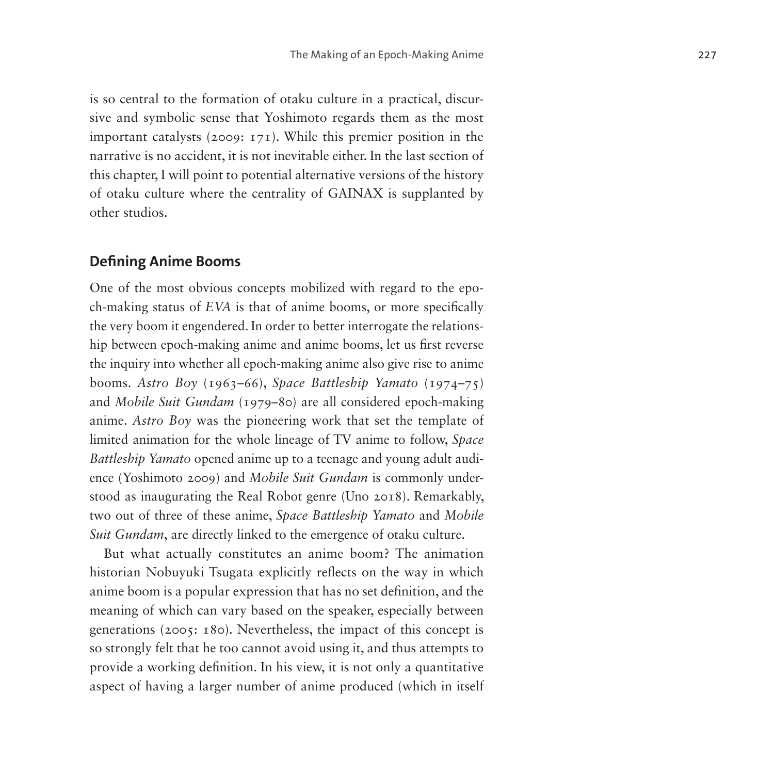is so central to the formation of otaku culture in a practical, discursive and symbolic sense that Yoshimoto regards them as the most important catalysts (2009: 171). While this premier position in the narrative is no accident, it is not inevitable either. In the last section of this chapter, I will point to potential alternative versions of the history of otaku culture where the centrality of GAINAX is supplanted by other studios.

### **Defining Anime Booms**

One of the most obvious concepts mobilized with regard to the epoch-making status of *EVA* is that of anime booms, or more specifically the very boom it engendered. In order to better interrogate the relationship between epoch-making anime and anime booms, let us first reverse the inquiry into whether all epoch-making anime also give rise to anime booms. *Astro Boy* (1963–66), *Space Battleship Yamato* (1974–75) and *Mobile Suit Gundam* (1979–80) are all considered epoch-making anime. *Astro Boy* was the pioneering work that set the template of limited animation for the whole lineage of TV anime to follow, *Space Battleship Yamato* opened anime up to a teenage and young adult audience (Yoshimoto 2009) and *Mobile Suit Gundam* is commonly understood as inaugurating the Real Robot genre (Uno 2018). Remarkably, two out of three of these anime, *Space Battleship Yamato* and *Mobile Suit Gundam*, are directly linked to the emergence of otaku culture.

But what actually constitutes an anime boom? The animation historian Nobuyuki Tsugata explicitly reflects on the way in which anime boom is a popular expression that has no set definition, and the meaning of which can vary based on the speaker, especially between generations (2005: 180). Nevertheless, the impact of this concept is so strongly felt that he too cannot avoid using it, and thus attempts to provide a working definition. In his view, it is not only a quantitative aspect of having a larger number of anime produced (which in itself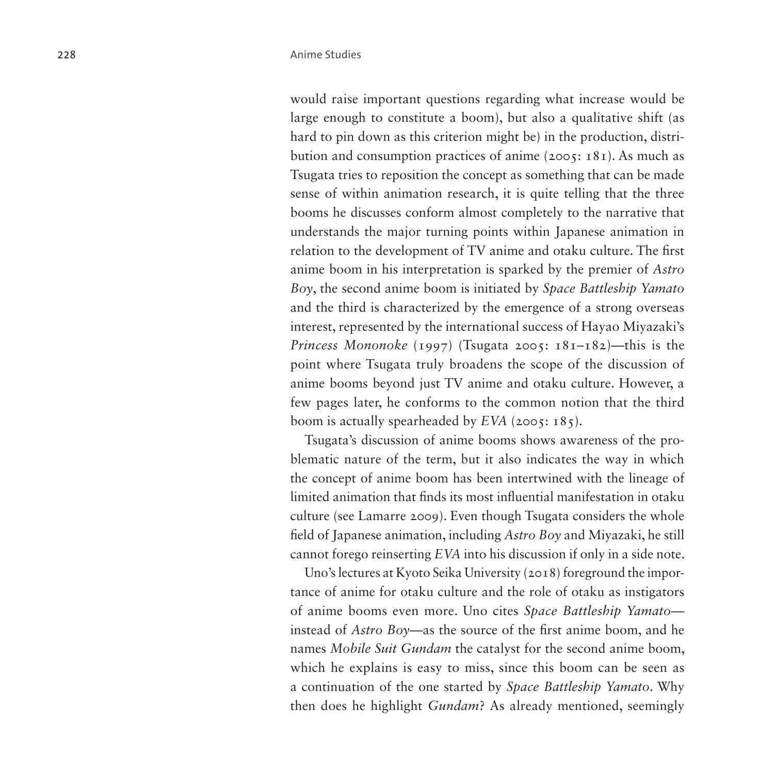would raise important questions regarding what increase would be large enough to constitute a boom), but also a qualitative shift (as hard to pin down as this criterion might be) in the production, distribution and consumption practices of anime (2005: 181). As much as Tsugata tries to reposition the concept as something that can be made sense of within animation research, it is quite telling that the three booms he discusses conform almost completely to the narrative that understands the major turning points within Japanese animation in relation to the development of TV anime and otaku culture. The first anime boom in his interpretation is sparked by the premier of *Astro Boy*, the second anime boom is initiated by *Space Battleship Yamato* and the third is characterized by the emergence of a strong overseas interest, represented by the international success of Hayao Miyazaki's *Princess Mononoke* (1997) (Tsugata 2005: 181–182)—this is the point where Tsugata truly broadens the scope of the discussion of anime booms beyond just TV anime and otaku culture. However, a few pages later, he conforms to the common notion that the third boom is actually spearheaded by *EVA* (2005: 185).

Tsugata's discussion of anime booms shows awareness of the problematic nature of the term, but it also indicates the way in which the concept of anime boom has been intertwined with the lineage of limited animation that finds its most influential manifestation in otaku culture (see Lamarre 2009). Even though Tsugata considers the whole field of Japanese animation, including *Astro Boy* and Miyazaki, he still cannot forego reinserting *EVA* into his discussion if only in a side note.

Uno's lectures at Kyoto Seika University (2018) foreground the importance of anime for otaku culture and the role of otaku as instigators of anime booms even more. Uno cites *Space Battleship Yamato* instead of *Astro Boy*—as the source of the first anime boom, and he names *Mobile Suit Gundam* the catalyst for the second anime boom, which he explains is easy to miss, since this boom can be seen as a continuation of the one started by *Space Battleship Yamato*. Why then does he highlight *Gundam*? As already mentioned, seemingly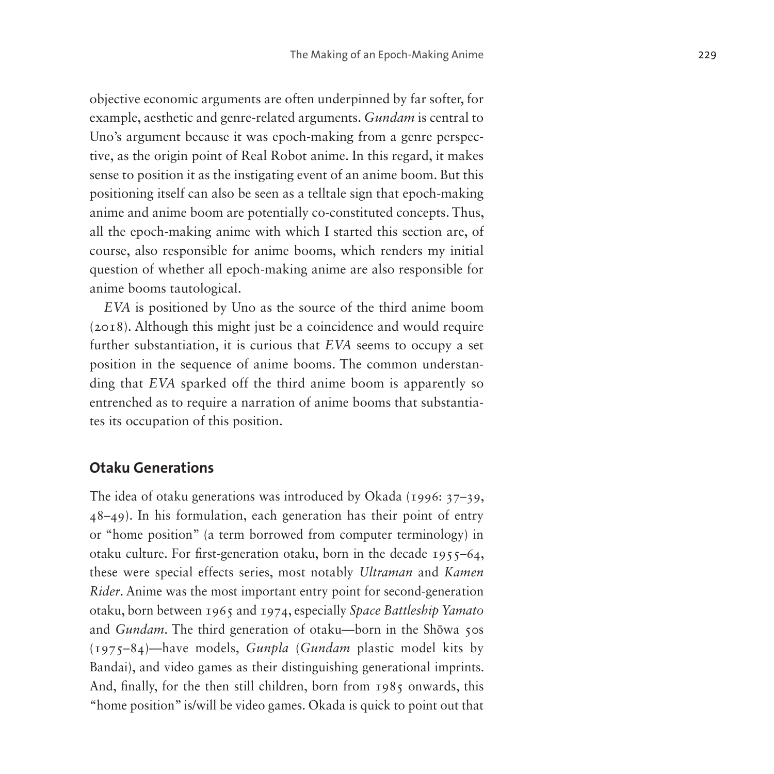objective economic arguments are often underpinned by far softer, for example, aesthetic and genre-related arguments. *Gundam* is central to Uno's argument because it was epoch-making from a genre perspective, as the origin point of Real Robot anime. In this regard, it makes sense to position it as the instigating event of an anime boom. But this positioning itself can also be seen as a telltale sign that epoch-making anime and anime boom are potentially co-constituted concepts. Thus, all the epoch-making anime with which I started this section are, of course, also responsible for anime booms, which renders my initial question of whether all epoch-making anime are also responsible for anime booms tautological.

*EVA* is positioned by Uno as the source of the third anime boom (2018). Although this might just be a coincidence and would require further substantiation, it is curious that *EVA* seems to occupy a set position in the sequence of anime booms. The common understanding that *EVA* sparked off the third anime boom is apparently so entrenched as to require a narration of anime booms that substantiates its occupation of this position.

#### **Otaku Generations**

The idea of otaku generations was introduced by Okada (1996: 37–39, 48–49). In his formulation, each generation has their point of entry or "home position" (a term borrowed from computer terminology) in otaku culture. For first-generation otaku, born in the decade 1955–64, these were special effects series, most notably *Ultraman* and *Kamen Rider*. Anime was the most important entry point for second-generation otaku, born between 1965 and 1974, especially *Space Battleship Yamato* and *Gundam*. The third generation of otaku—born in the Shōwa 50s (1975–84)—have models, *Gunpla* (*Gundam* plastic model kits by Bandai), and video games as their distinguishing generational imprints. And, finally, for the then still children, born from 1985 onwards, this "home position" is/will be video games. Okada is quick to point out that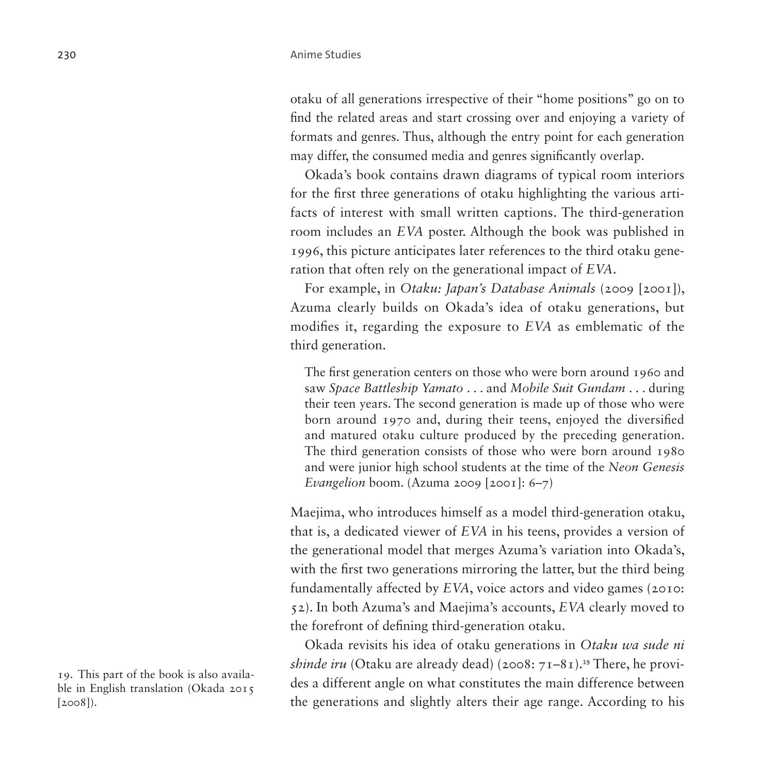otaku of all generations irrespective of their "home positions" go on to find the related areas and start crossing over and enjoying a variety of formats and genres. Thus, although the entry point for each generation may differ, the consumed media and genres significantly overlap.

Okada's book contains drawn diagrams of typical room interiors for the first three generations of otaku highlighting the various artifacts of interest with small written captions. The third-generation room includes an *EVA* poster. Although the book was published in 1996, this picture anticipates later references to the third otaku generation that often rely on the generational impact of *EVA*.

For example, in *Otaku: Japan's Database Animals* (2009 [2001]), Azuma clearly builds on Okada's idea of otaku generations, but modifies it, regarding the exposure to *EVA* as emblematic of the third generation.

The first generation centers on those who were born around 1960 and saw *Space Battleship Yamato* . . . and *Mobile Suit Gundam* . . . during their teen years. The second generation is made up of those who were born around 1970 and, during their teens, enjoyed the diversified and matured otaku culture produced by the preceding generation. The third generation consists of those who were born around 1980 and were junior high school students at the time of the *Neon Genesis Evangelion* boom. (Azuma 2009 [2001]: 6–7)

Maejima, who introduces himself as a model third-generation otaku, that is, a dedicated viewer of *EVA* in his teens, provides a version of the generational model that merges Azuma's variation into Okada's, with the first two generations mirroring the latter, but the third being fundamentally affected by *EVA*, voice actors and video games (2010: 52). In both Azuma's and Maejima's accounts, *EVA* clearly moved to the forefront of defining third-generation otaku.

Okada revisits his idea of otaku generations in *Otaku wa sude ni shinde iru* (Otaku are already dead) (2008: 71–81).<sup>[19](#page-15-0)</sup> There, he provides a different angle on what constitutes the main difference between the generations and slightly alters their age range. According to his

<span id="page-15-0"></span>19. This part of the book is also available in English translation (Okada 2015 [2008]).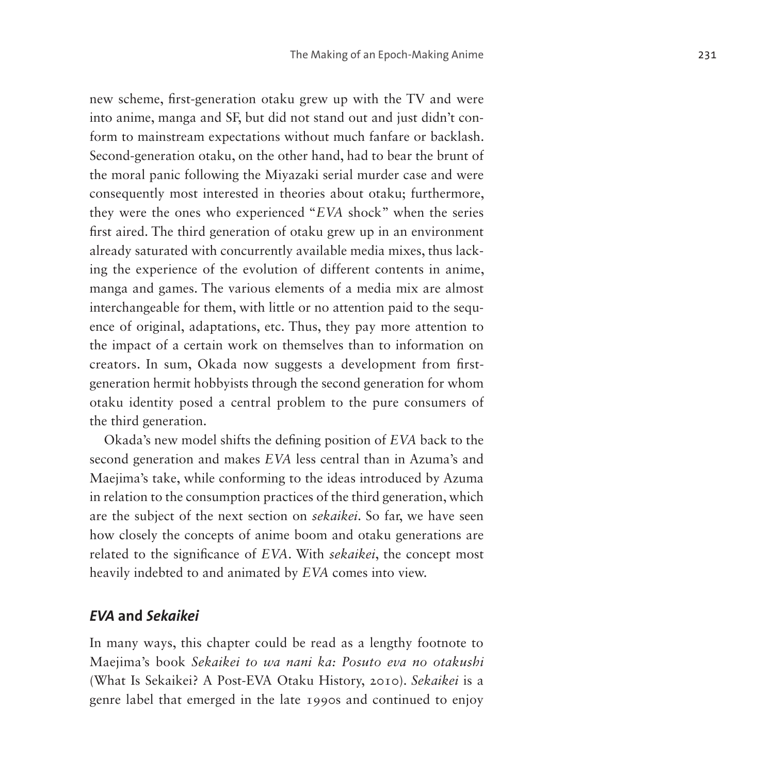new scheme, first-generation otaku grew up with the TV and were into anime, manga and SF, but did not stand out and just didn't conform to mainstream expectations without much fanfare or backlash. Second-generation otaku, on the other hand, had to bear the brunt of the moral panic following the Miyazaki serial murder case and were consequently most interested in theories about otaku; furthermore, they were the ones who experienced "*EVA* shock" when the series first aired. The third generation of otaku grew up in an environment already saturated with concurrently available media mixes, thus lacking the experience of the evolution of different contents in anime, manga and games. The various elements of a media mix are almost interchangeable for them, with little or no attention paid to the sequence of original, adaptations, etc. Thus, they pay more attention to the impact of a certain work on themselves than to information on creators. In sum, Okada now suggests a development from firstgeneration hermit hobbyists through the second generation for whom otaku identity posed a central problem to the pure consumers of the third generation.

Okada's new model shifts the defining position of *EVA* back to the second generation and makes *EVA* less central than in Azuma's and Maejima's take, while conforming to the ideas introduced by Azuma in relation to the consumption practices of the third generation, which are the subject of the next section on *sekaikei*. So far, we have seen how closely the concepts of anime boom and otaku generations are related to the significance of *EVA*. With *sekaikei*, the concept most heavily indebted to and animated by *EVA* comes into view.

#### *EVA* **and** *Sekaikei*

In many ways, this chapter could be read as a lengthy footnote to Maejima's book *Sekaikei to wa nani ka: Posuto eva no otakushi* (What Is Sekaikei? A Post-EVA Otaku History, 2010). *Sekaikei* is a genre label that emerged in the late 1990s and continued to enjoy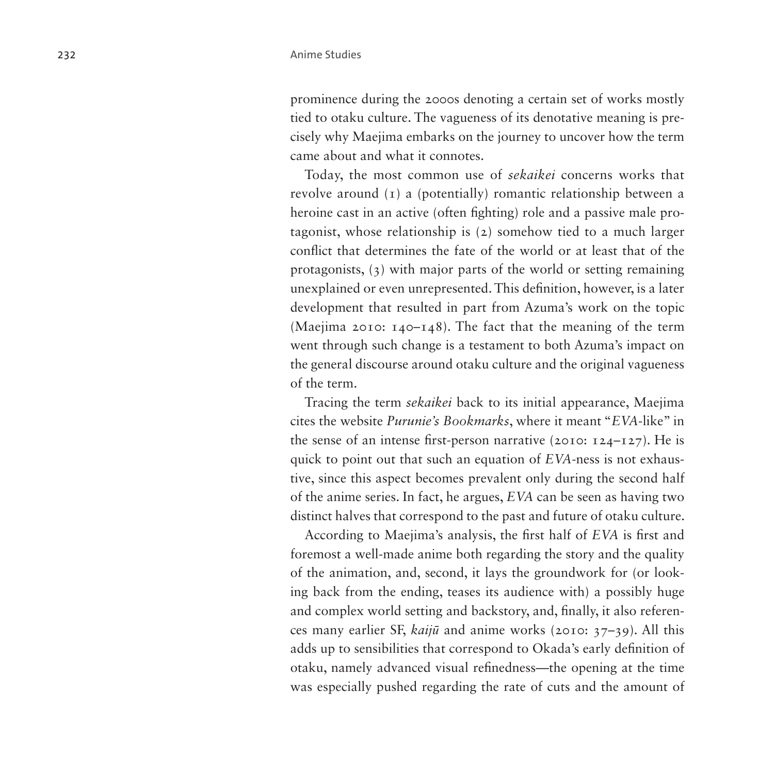prominence during the 2000s denoting a certain set of works mostly tied to otaku culture. The vagueness of its denotative meaning is precisely why Maejima embarks on the journey to uncover how the term came about and what it connotes.

Today, the most common use of *sekaikei* concerns works that revolve around (1) a (potentially) romantic relationship between a heroine cast in an active (often fighting) role and a passive male protagonist, whose relationship is (2) somehow tied to a much larger conflict that determines the fate of the world or at least that of the protagonists, (3) with major parts of the world or setting remaining unexplained or even unrepresented. This definition, however, is a later development that resulted in part from Azuma's work on the topic (Maejima 2010: 140–148). The fact that the meaning of the term went through such change is a testament to both Azuma's impact on the general discourse around otaku culture and the original vagueness of the term.

Tracing the term *sekaikei* back to its initial appearance, Maejima cites the website *Purunie's Bookmarks*, where it meant "*EVA*-like" in the sense of an intense first-person narrative (2010: 124–127). He is quick to point out that such an equation of *EVA*-ness is not exhaustive, since this aspect becomes prevalent only during the second half of the anime series. In fact, he argues, *EVA* can be seen as having two distinct halves that correspond to the past and future of otaku culture.

According to Maejima's analysis, the first half of *EVA* is first and foremost a well-made anime both regarding the story and the quality of the animation, and, second, it lays the groundwork for (or looking back from the ending, teases its audience with) a possibly huge and complex world setting and backstory, and, finally, it also references many earlier SF, *kaijū* and anime works (2010: 37–39). All this adds up to sensibilities that correspond to Okada's early definition of otaku, namely advanced visual refinedness—the opening at the time was especially pushed regarding the rate of cuts and the amount of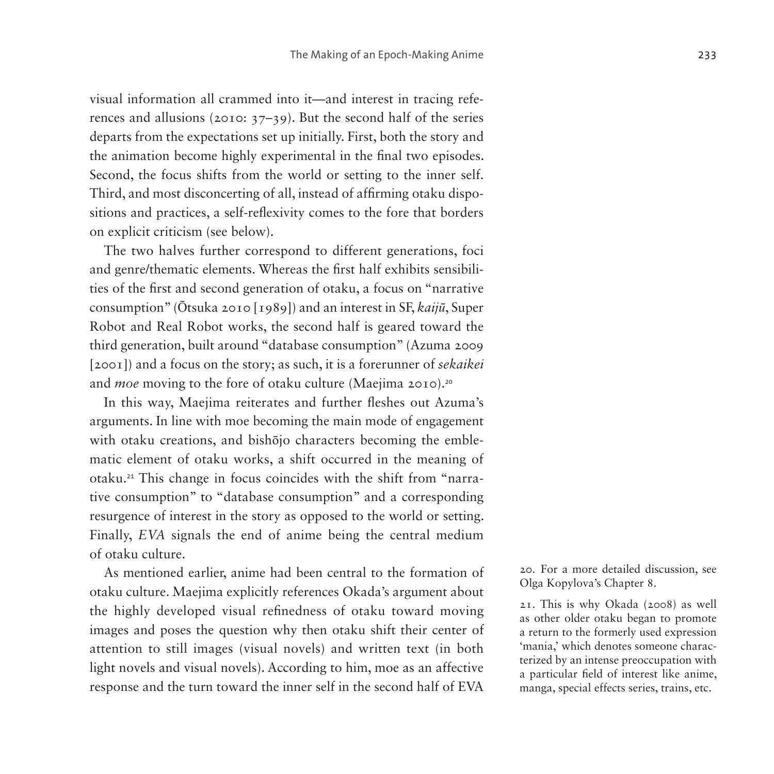visual information all crammed into it—and interest in tracing references and allusions (2010: 37–39). But the second half of the series departs from the expectations set up initially. First, both the story and the animation become highly experimental in the final two episodes. Second, the focus shifts from the world or setting to the inner self. Third, and most disconcerting of all, instead of affirming otaku dispositions and practices, a self-reflexivity comes to the fore that borders on explicit criticism (see below).

The two halves further correspond to different generations, foci and genre/thematic elements. Whereas the first half exhibits sensibilities of the first and second generation of otaku, a focus on "narrative consumption" (Ōtsuka 2010 [1989]) and an interest in SF, *kaijū*, Super Robot and Real Robot works, the second half is geared toward the third generation, built around "database consumption" (Azuma 2009 [2001]) and a focus on the story; as such, it is a forerunner of *sekaikei* and *moe* moving to the fore of otaku culture (Maejima [20](#page-18-0)10).<sup>20</sup>

In this way, Maejima reiterates and further fleshes out Azuma's arguments. In line with moe becoming the main mode of engagement with otaku creations, and bishōjo characters becoming the emblematic element of otaku works, a shift occurred in the meaning of otaku.[21](#page-18-1) This change in focus coincides with the shift from "narrative consumption" to "database consumption" and a corresponding resurgence of interest in the story as opposed to the world or setting. Finally, *EVA* signals the end of anime being the central medium of otaku culture.

As mentioned earlier, anime had been central to the formation of otaku culture. Maejima explicitly references Okada's argument about the highly developed visual refinedness of otaku toward moving images and poses the question why then otaku shift their center of attention to still images (visual novels) and written text (in both light novels and visual novels). According to him, moe as an affective response and the turn toward the inner self in the second half of EVA <span id="page-18-0"></span>20. For a more detailed discussion, see Olga Kopylova's Chapter 8.

<span id="page-18-1"></span>21. This is why Okada (2008) as well as other older otaku began to promote a return to the formerly used expression 'mania,' which denotes someone characterized by an intense preoccupation with a particular field of interest like anime, manga, special effects series, trains, etc.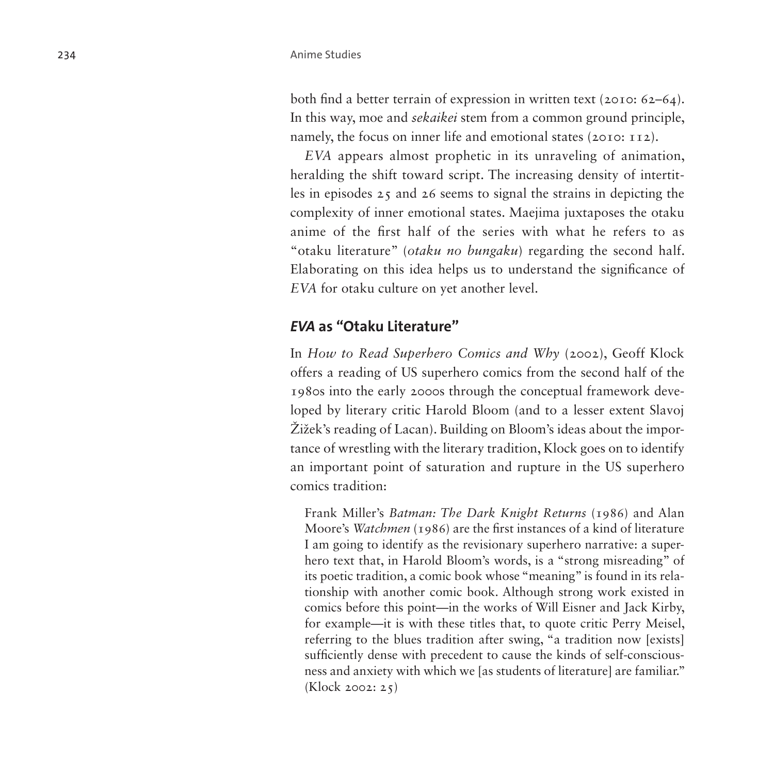both find a better terrain of expression in written text (2010: 62–64). In this way, moe and *sekaikei* stem from a common ground principle, namely, the focus on inner life and emotional states (2010: 112).

*EVA* appears almost prophetic in its unraveling of animation, heralding the shift toward script. The increasing density of intertitles in episodes 25 and 26 seems to signal the strains in depicting the complexity of inner emotional states. Maejima juxtaposes the otaku anime of the first half of the series with what he refers to as "otaku literature" (*otaku no bungaku*) regarding the second half. Elaborating on this idea helps us to understand the significance of *EVA* for otaku culture on yet another level.

### *EVA* **as "Otaku Literature"**

In *How to Read Superhero Comics and Why* (2002), Geoff Klock offers a reading of US superhero comics from the second half of the 1980s into the early 2000s through the conceptual framework developed by literary critic Harold Bloom (and to a lesser extent Slavoj Žižek's reading of Lacan). Building on Bloom's ideas about the importance of wrestling with the literary tradition, Klock goes on to identify an important point of saturation and rupture in the US superhero comics tradition:

Frank Miller's *Batman: The Dark Knight Returns* (1986) and Alan Moore's *Watchmen* (1986) are the first instances of a kind of literature I am going to identify as the revisionary superhero narrative: a superhero text that, in Harold Bloom's words, is a "strong misreading" of its poetic tradition, a comic book whose "meaning" is found in its relationship with another comic book. Although strong work existed in comics before this point—in the works of Will Eisner and Jack Kirby, for example—it is with these titles that, to quote critic Perry Meisel, referring to the blues tradition after swing, "a tradition now [exists] sufficiently dense with precedent to cause the kinds of self-consciousness and anxiety with which we [as students of literature] are familiar." (Klock 2002: 25)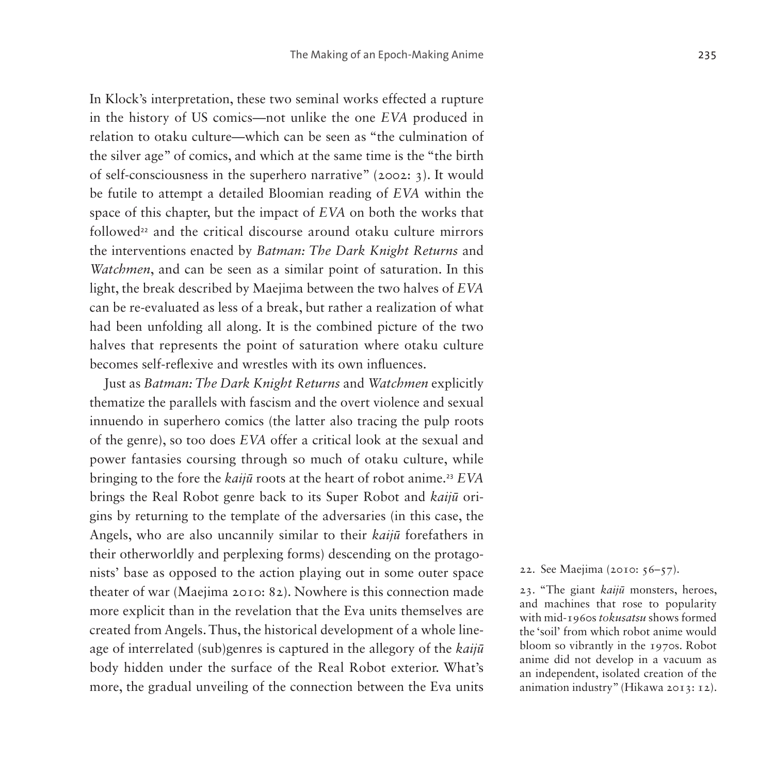In Klock's interpretation, these two seminal works effected a rupture in the history of US comics—not unlike the one *EVA* produced in relation to otaku culture—which can be seen as "the culmination of the silver age" of comics, and which at the same time is the "the birth of self-consciousness in the superhero narrative" (2002: 3). It would be futile to attempt a detailed Bloomian reading of *EVA* within the space of this chapter, but the impact of *EVA* on both the works that followed<sup>[22](#page-20-0)</sup> and the critical discourse around otaku culture mirrors the interventions enacted by *Batman: The Dark Knight Returns* and *Watchmen*, and can be seen as a similar point of saturation. In this light, the break described by Maejima between the two halves of *EVA* can be re-evaluated as less of a break, but rather a realization of what had been unfolding all along. It is the combined picture of the two halves that represents the point of saturation where otaku culture becomes self-reflexive and wrestles with its own influences.

Just as *Batman: The Dark Knight Returns* and *Watchmen* explicitly thematize the parallels with fascism and the overt violence and sexual innuendo in superhero comics (the latter also tracing the pulp roots of the genre), so too does *EVA* offer a critical look at the sexual and power fantasies coursing through so much of otaku culture, while bringing to the fore the *kaijū* roots at the heart of robot anime.[23](#page-20-1) *EVA* brings the Real Robot genre back to its Super Robot and *kaijū* origins by returning to the template of the adversaries (in this case, the Angels, who are also uncannily similar to their *kaijū* forefathers in their otherworldly and perplexing forms) descending on the protagonists' base as opposed to the action playing out in some outer space theater of war (Maejima 2010: 82). Nowhere is this connection made more explicit than in the revelation that the Eva units themselves are created from Angels. Thus, the historical development of a whole lineage of interrelated (sub)genres is captured in the allegory of the *kaijū* body hidden under the surface of the Real Robot exterior. What's more, the gradual unveiling of the connection between the Eva units

<span id="page-20-0"></span>22. See Maejima (2010: 56–57).

<span id="page-20-1"></span>23. "The giant *kaijū* monsters, heroes, and machines that rose to popularity with mid-1960s *tokusatsu* shows formed the 'soil' from which robot anime would bloom so vibrantly in the 1970s. Robot anime did not develop in a vacuum as an independent, isolated creation of the animation industry" (Hikawa 2013: 12).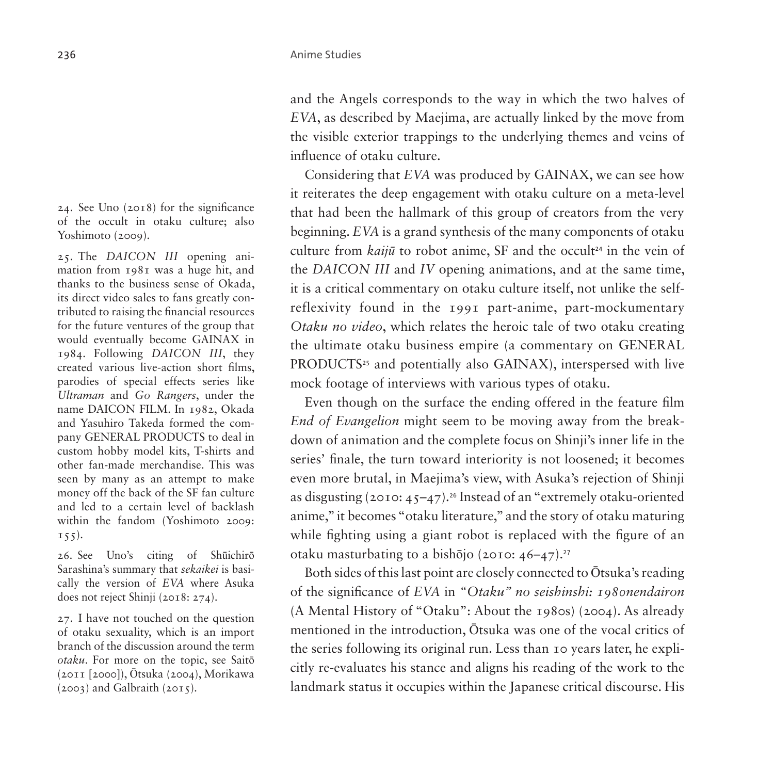and the Angels corresponds to the way in which the two halves of *EVA*, as described by Maejima, are actually linked by the move from the visible exterior trappings to the underlying themes and veins of influence of otaku culture.

Considering that *EVA* was produced by GAINAX, we can see how it reiterates the deep engagement with otaku culture on a meta-level that had been the hallmark of this group of creators from the very beginning. *EVA* is a grand synthesis of the many components of otaku culture from *kaijū* to robot anime, SF and the occult<sup>[24](#page-21-0)</sup> in the vein of the *DAICON III* and *IV* opening animations, and at the same time, it is a critical commentary on otaku culture itself, not unlike the selfreflexivity found in the 1991 part-anime, part-mockumentary *Otaku no video*, which relates the heroic tale of two otaku creating the ultimate otaku business empire (a commentary on GENERAL PRODUCTS<sup>[25](#page-21-1)</sup> and potentially also GAINAX), interspersed with live mock footage of interviews with various types of otaku.

Even though on the surface the ending offered in the feature film *End of Evangelion* might seem to be moving away from the breakdown of animation and the complete focus on Shinji's inner life in the series' finale, the turn toward interiority is not loosened; it becomes even more brutal, in Maejima's view, with Asuka's rejection of Shinji as disgusting  $(2010: 45-47).$ <sup>[26](#page-21-2)</sup> Instead of an "extremely otaku-oriented" anime," it becomes "otaku literature," and the story of otaku maturing while fighting using a giant robot is replaced with the figure of an otaku masturbating to a bishōjo (2010: 46–47).[27](#page-21-3)

Both sides of this last point are closely connected to Ōtsuka's reading of the significance of *EVA* in *"Otaku" no seishinshi: 1980nendairon* (A Mental History of "Otaku": About the 1980s) (2004). As already mentioned in the introduction, Ōtsuka was one of the vocal critics of the series following its original run. Less than 10 years later, he explicitly re-evaluates his stance and aligns his reading of the work to the landmark status it occupies within the Japanese critical discourse. His

<span id="page-21-0"></span>24. See Uno (2018) for the significance of the occult in otaku culture; also Yoshimoto (2009).

<span id="page-21-1"></span>25. The *DAICON III* opening animation from 1981 was a huge hit, and thanks to the business sense of Okada, its direct video sales to fans greatly contributed to raising the financial resources for the future ventures of the group that would eventually become GAINAX in 1984. Following *DAICON III*, they created various live-action short films, parodies of special effects series like *Ultraman* and *Go Rangers*, under the name DAICON FILM. In 1982, Okada and Yasuhiro Takeda formed the company GENERAL PRODUCTS to deal in custom hobby model kits, T-shirts and other fan-made merchandise. This was seen by many as an attempt to make money off the back of the SF fan culture and led to a certain level of backlash within the fandom (Yoshimoto 2009:  $155$ ).

<span id="page-21-2"></span>26. See Uno's citing of Shūichirō Sarashina's summary that *sekaikei* is basically the version of *EVA* where Asuka does not reject Shinji (2018: 274).

<span id="page-21-3"></span>27. I have not touched on the question of otaku sexuality, which is an import branch of the discussion around the term *otaku*. For more on the topic, see Saitō (2011 [2000]), Ōtsuka (2004), Morikawa  $(2003)$  and Galbraith  $(2015)$ .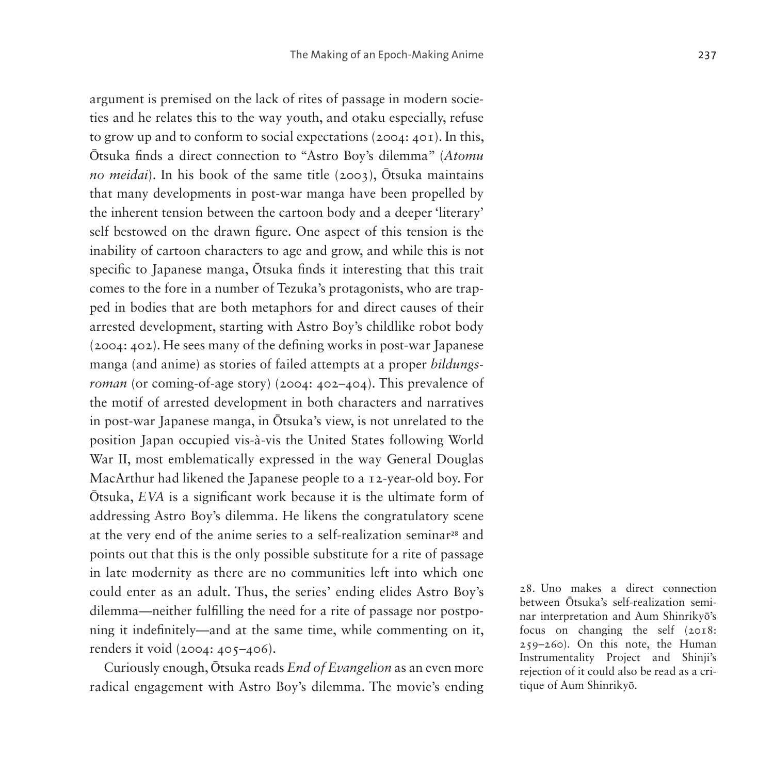argument is premised on the lack of rites of passage in modern societies and he relates this to the way youth, and otaku especially, refuse to grow up and to conform to social expectations (2004: 401). In this, Ōtsuka finds a direct connection to "Astro Boy's dilemma" (*Atomu no meidai*). In his book of the same title (2003), Ōtsuka maintains that many developments in post-war manga have been propelled by the inherent tension between the cartoon body and a deeper 'literary' self bestowed on the drawn figure. One aspect of this tension is the inability of cartoon characters to age and grow, and while this is not specific to Japanese manga, Ōtsuka finds it interesting that this trait comes to the fore in a number of Tezuka's protagonists, who are trapped in bodies that are both metaphors for and direct causes of their arrested development, starting with Astro Boy's childlike robot body (2004: 402). He sees many of the defining works in post-war Japanese manga (and anime) as stories of failed attempts at a proper *bildungsroman* (or coming-of-age story) (2004: 402–404). This prevalence of the motif of arrested development in both characters and narratives in post-war Japanese manga, in Ōtsuka's view, is not unrelated to the position Japan occupied vis-à-vis the United States following World War II, most emblematically expressed in the way General Douglas MacArthur had likened the Japanese people to a 12-year-old boy. For Ōtsuka, *EVA* is a significant work because it is the ultimate form of addressing Astro Boy's dilemma. He likens the congratulatory scene at the very end of the anime series to a self-realization seminar<sup>[28](#page-22-0)</sup> and points out that this is the only possible substitute for a rite of passage in late modernity as there are no communities left into which one could enter as an adult. Thus, the series' ending elides Astro Boy's dilemma—neither fulfilling the need for a rite of passage nor postponing it indefinitely—and at the same time, while commenting on it, renders it void (2004: 405–406).

Curiously enough, Ōtsuka reads *End of Evangelion* as an even more radical engagement with Astro Boy's dilemma. The movie's ending <span id="page-22-0"></span>28. Uno makes a direct connection between Ōtsuka's self-realization seminar interpretation and Aum Shinrikyō's focus on changing the self (2018: 259–260). On this note, the Human Instrumentality Project and Shinji's rejection of it could also be read as a critique of Aum Shinrikyō.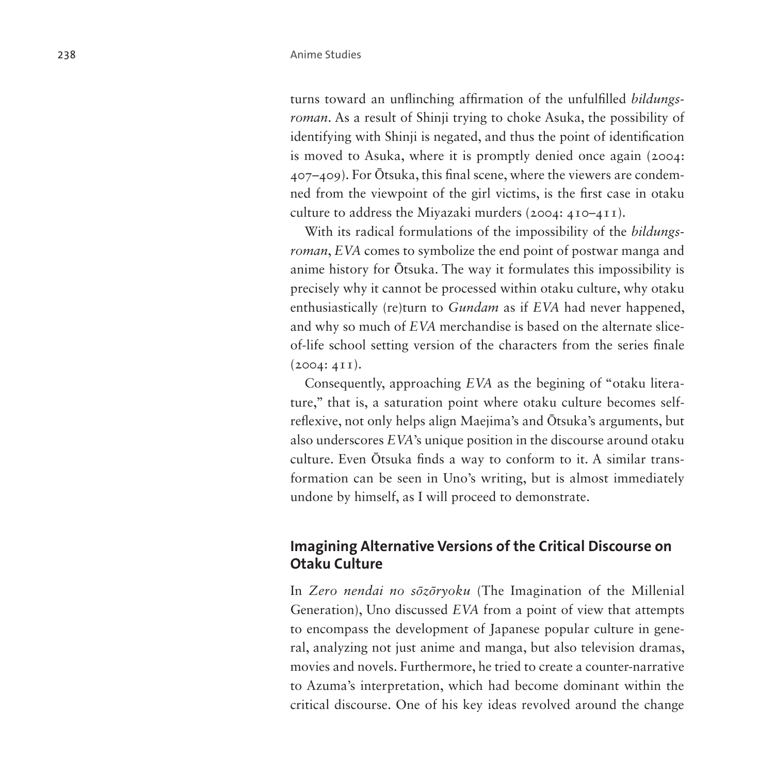turns toward an unflinching affirmation of the unfulfilled *bildungsroman*. As a result of Shinji trying to choke Asuka, the possibility of identifying with Shinji is negated, and thus the point of identification is moved to Asuka, where it is promptly denied once again (2004: 407–409). For Ōtsuka, this final scene, where the viewers are condemned from the viewpoint of the girl victims, is the first case in otaku culture to address the Miyazaki murders (2004: 410–411).

With its radical formulations of the impossibility of the *bildungsroman*, *EVA* comes to symbolize the end point of postwar manga and anime history for Ōtsuka. The way it formulates this impossibility is precisely why it cannot be processed within otaku culture, why otaku enthusiastically (re)turn to *Gundam* as if *EVA* had never happened, and why so much of *EVA* merchandise is based on the alternate sliceof-life school setting version of the characters from the series finale  $(2004: 4II).$ 

Consequently, approaching *EVA* as the begining of "otaku literature," that is, a saturation point where otaku culture becomes selfreflexive, not only helps align Maejima's and Ōtsuka's arguments, but also underscores *EVA*'s unique position in the discourse around otaku culture. Even Ōtsuka finds a way to conform to it. A similar transformation can be seen in Uno's writing, but is almost immediately undone by himself, as I will proceed to demonstrate.

## **Imagining Alternative Versions of the Critical Discourse on Otaku Culture**

In *Zero nendai no sōzōryoku* (The Imagination of the Millenial Generation), Uno discussed *EVA* from a point of view that attempts to encompass the development of Japanese popular culture in general, analyzing not just anime and manga, but also television dramas, movies and novels. Furthermore, he tried to create a counter-narrative to Azuma's interpretation, which had become dominant within the critical discourse. One of his key ideas revolved around the change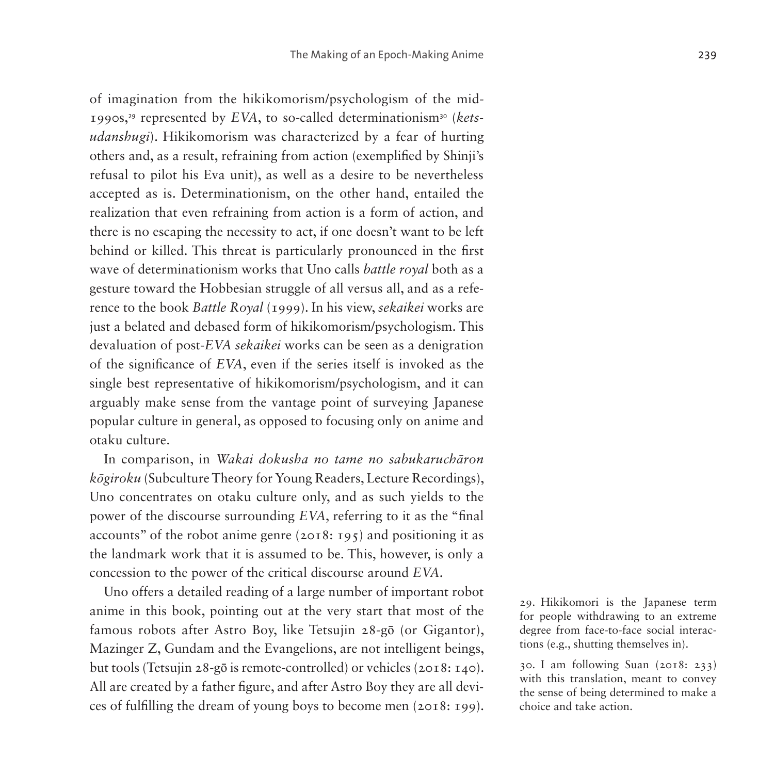of imagination from the hikikomorism/psychologism of the mid-1990s,[29](#page-24-0) represented by *EVA*, to so-called determinationism[30](#page-24-1) (*ketsudanshugi*). Hikikomorism was characterized by a fear of hurting others and, as a result, refraining from action (exemplified by Shinji's refusal to pilot his Eva unit), as well as a desire to be nevertheless accepted as is. Determinationism, on the other hand, entailed the realization that even refraining from action is a form of action, and there is no escaping the necessity to act, if one doesn't want to be left behind or killed. This threat is particularly pronounced in the first wave of determinationism works that Uno calls *battle royal* both as a gesture toward the Hobbesian struggle of all versus all, and as a reference to the book *Battle Royal* (1999). In his view, *sekaikei* works are just a belated and debased form of hikikomorism/psychologism. This devaluation of post-*EVA sekaikei* works can be seen as a denigration of the significance of *EVA*, even if the series itself is invoked as the single best representative of hikikomorism/psychologism, and it can arguably make sense from the vantage point of surveying Japanese popular culture in general, as opposed to focusing only on anime and otaku culture.

In comparison, in *Wakai dokusha no tame no sabukaruchāron kōgiroku* (Subculture Theory for Young Readers, Lecture Recordings), Uno concentrates on otaku culture only, and as such yields to the power of the discourse surrounding *EVA*, referring to it as the "final accounts" of the robot anime genre (2018: 195) and positioning it as the landmark work that it is assumed to be. This, however, is only a concession to the power of the critical discourse around *EVA*.

Uno offers a detailed reading of a large number of important robot anime in this book, pointing out at the very start that most of the famous robots after Astro Boy, like Tetsujin 28-gō (or Gigantor), Mazinger Z, Gundam and the Evangelions, are not intelligent beings, but tools (Tetsujin 28-gō is remote-controlled) or vehicles (2018: 140). All are created by a father figure, and after Astro Boy they are all devices of fulfilling the dream of young boys to become men (2018: 199).

<span id="page-24-0"></span>29. Hikikomori is the Japanese term for people withdrawing to an extreme degree from face-to-face social interactions (e.g., shutting themselves in).

<span id="page-24-1"></span>30. I am following Suan (2018: 233) with this translation, meant to convey the sense of being determined to make a choice and take action.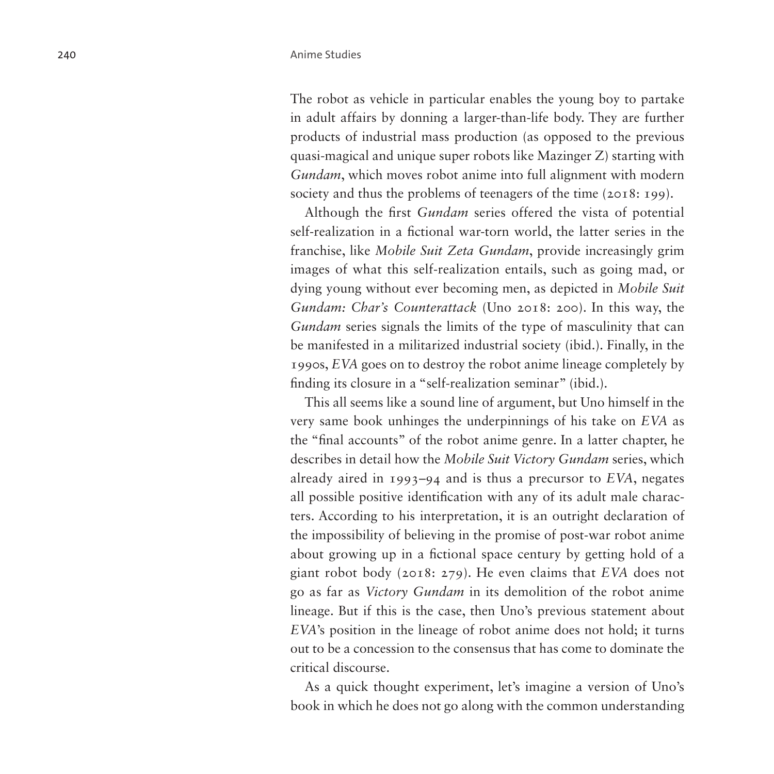The robot as vehicle in particular enables the young boy to partake in adult affairs by donning a larger-than-life body. They are further products of industrial mass production (as opposed to the previous quasi-magical and unique super robots like Mazinger Z) starting with *Gundam*, which moves robot anime into full alignment with modern society and thus the problems of teenagers of the time (2018: 199).

Although the first *Gundam* series offered the vista of potential self-realization in a fictional war-torn world, the latter series in the franchise, like *Mobile Suit Zeta Gundam*, provide increasingly grim images of what this self-realization entails, such as going mad, or dying young without ever becoming men, as depicted in *Mobile Suit Gundam: Char's Counterattack* (Uno 2018: 200). In this way, the *Gundam* series signals the limits of the type of masculinity that can be manifested in a militarized industrial society (ibid.). Finally, in the 1990s, *EVA* goes on to destroy the robot anime lineage completely by finding its closure in a "self-realization seminar" (ibid.).

This all seems like a sound line of argument, but Uno himself in the very same book unhinges the underpinnings of his take on *EVA* as the "final accounts" of the robot anime genre. In a latter chapter, he describes in detail how the *Mobile Suit Victory Gundam* series, which already aired in 1993–94 and is thus a precursor to *EVA*, negates all possible positive identification with any of its adult male characters. According to his interpretation, it is an outright declaration of the impossibility of believing in the promise of post-war robot anime about growing up in a fictional space century by getting hold of a giant robot body (2018: 279). He even claims that *EVA* does not go as far as *Victory Gundam* in its demolition of the robot anime lineage. But if this is the case, then Uno's previous statement about *EVA*'s position in the lineage of robot anime does not hold; it turns out to be a concession to the consensus that has come to dominate the critical discourse.

As a quick thought experiment, let's imagine a version of Uno's book in which he does not go along with the common understanding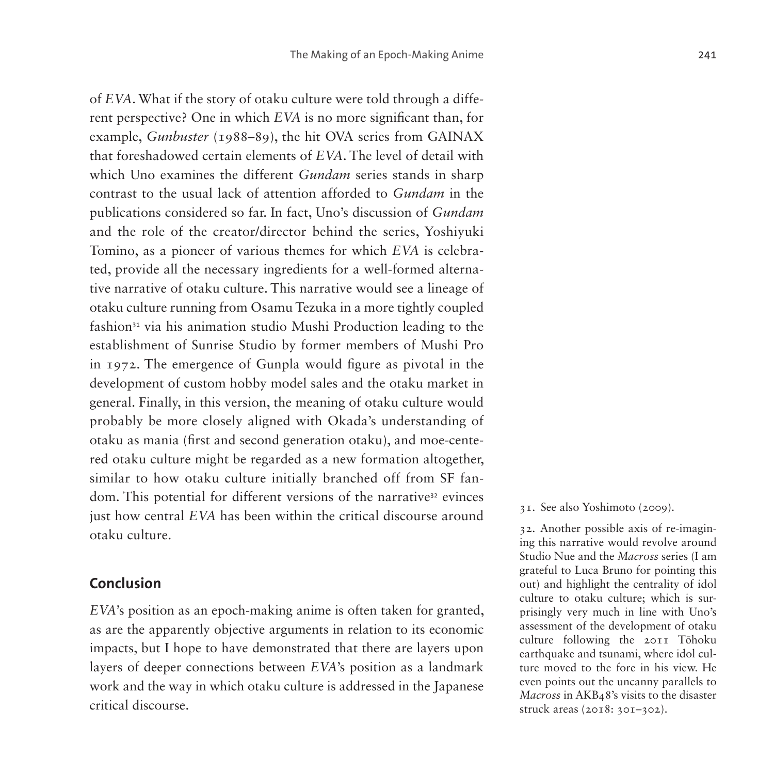of *EVA*. What if the story of otaku culture were told through a different perspective? One in which *EVA* is no more significant than, for example, *Gunbuster* (1988–89), the hit OVA series from GAINAX that foreshadowed certain elements of *EVA*. The level of detail with which Uno examines the different *Gundam* series stands in sharp contrast to the usual lack of attention afforded to *Gundam* in the publications considered so far. In fact, Uno's discussion of *Gundam*  and the role of the creator/director behind the series, Yoshiyuki Tomino, as a pioneer of various themes for which *EVA* is celebrated, provide all the necessary ingredients for a well-formed alternative narrative of otaku culture. This narrative would see a lineage of otaku culture running from Osamu Tezuka in a more tightly coupled fashion<sup>[31](#page-26-0)</sup> via his animation studio Mushi Production leading to the establishment of Sunrise Studio by former members of Mushi Pro in 1972. The emergence of Gunpla would figure as pivotal in the development of custom hobby model sales and the otaku market in general. Finally, in this version, the meaning of otaku culture would probably be more closely aligned with Okada's understanding of otaku as mania (first and second generation otaku), and moe-centered otaku culture might be regarded as a new formation altogether, similar to how otaku culture initially branched off from SF fan-dom. This potential for different versions of the narrative<sup>[32](#page-26-1)</sup> evinces just how central *EVA* has been within the critical discourse around otaku culture.

#### **Conclusion**

*EVA*'s position as an epoch-making anime is often taken for granted, as are the apparently objective arguments in relation to its economic impacts, but I hope to have demonstrated that there are layers upon layers of deeper connections between *EVA*'s position as a landmark work and the way in which otaku culture is addressed in the Japanese critical discourse.

<span id="page-26-0"></span>31. See also Yoshimoto (2009).

<span id="page-26-1"></span>32. Another possible axis of re-imagining this narrative would revolve around Studio Nue and the *Macross* series (I am grateful to Luca Bruno for pointing this out) and highlight the centrality of idol culture to otaku culture; which is surprisingly very much in line with Uno's assessment of the development of otaku culture following the 2011 Tōhoku earthquake and tsunami, where idol culture moved to the fore in his view. He even points out the uncanny parallels to *Macross* in AKB48's visits to the disaster struck areas (2018: 301–302).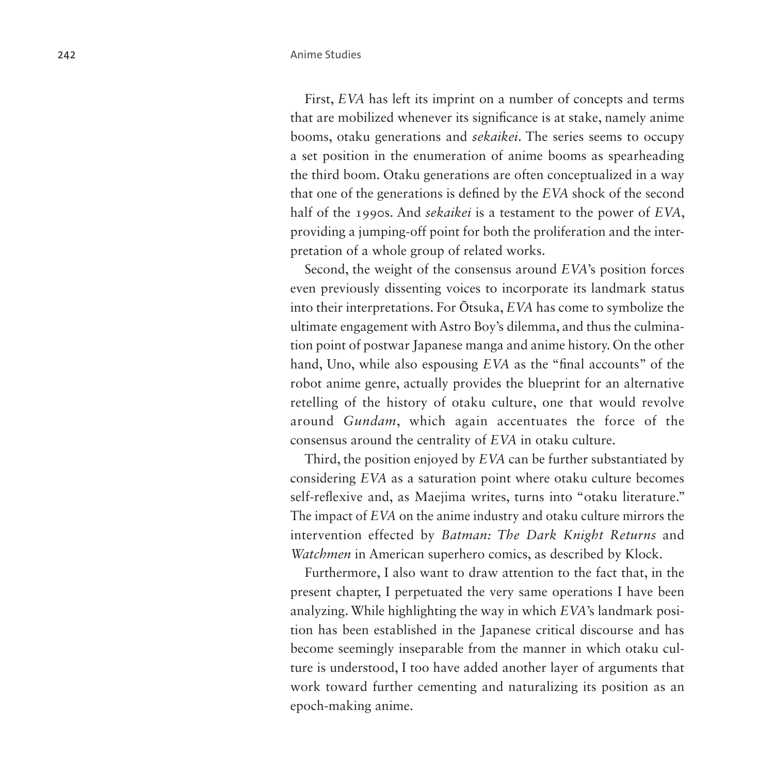First, *EVA* has left its imprint on a number of concepts and terms that are mobilized whenever its significance is at stake, namely anime booms, otaku generations and *sekaikei*. The series seems to occupy a set position in the enumeration of anime booms as spearheading the third boom. Otaku generations are often conceptualized in a way that one of the generations is defined by the *EVA* shock of the second half of the 1990s. And *sekaikei* is a testament to the power of *EVA*, providing a jumping-off point for both the proliferation and the interpretation of a whole group of related works.

Second, the weight of the consensus around *EVA*'s position forces even previously dissenting voices to incorporate its landmark status into their interpretations. For Ōtsuka, *EVA* has come to symbolize the ultimate engagement with Astro Boy's dilemma, and thus the culmination point of postwar Japanese manga and anime history. On the other hand, Uno, while also espousing *EVA* as the "final accounts" of the robot anime genre, actually provides the blueprint for an alternative retelling of the history of otaku culture, one that would revolve around *Gundam*, which again accentuates the force of the consensus around the centrality of *EVA* in otaku culture.

Third, the position enjoyed by *EVA* can be further substantiated by considering *EVA* as a saturation point where otaku culture becomes self-reflexive and, as Maejima writes, turns into "otaku literature." The impact of *EVA* on the anime industry and otaku culture mirrors the intervention effected by *Batman: The Dark Knight Returns* and *Watchmen* in American superhero comics, as described by Klock.

Furthermore, I also want to draw attention to the fact that, in the present chapter, I perpetuated the very same operations I have been analyzing. While highlighting the way in which *EVA*'s landmark position has been established in the Japanese critical discourse and has become seemingly inseparable from the manner in which otaku culture is understood, I too have added another layer of arguments that work toward further cementing and naturalizing its position as an epoch-making anime.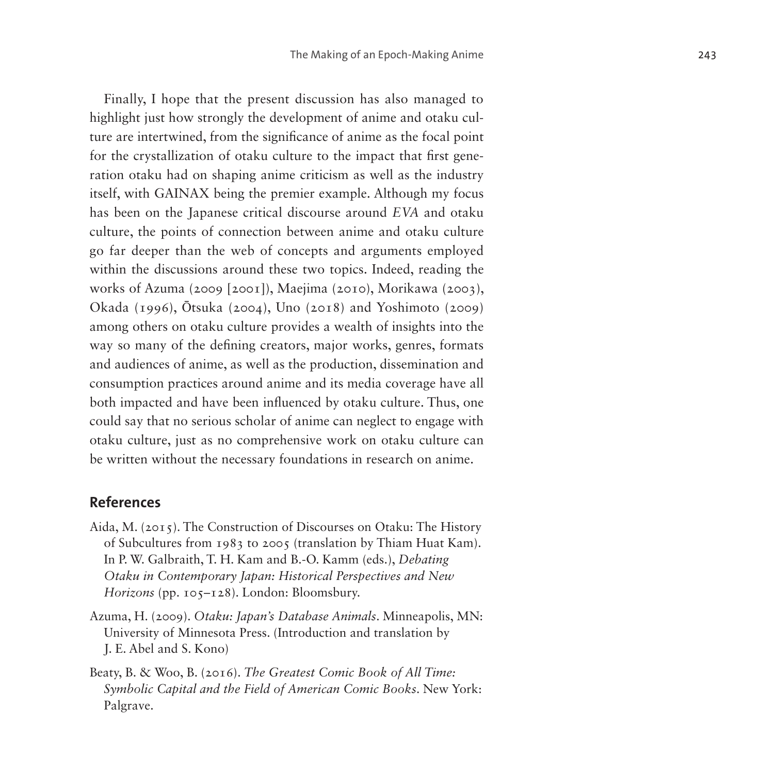Finally, I hope that the present discussion has also managed to highlight just how strongly the development of anime and otaku culture are intertwined, from the significance of anime as the focal point for the crystallization of otaku culture to the impact that first generation otaku had on shaping anime criticism as well as the industry itself, with GAINAX being the premier example. Although my focus has been on the Japanese critical discourse around *EVA* and otaku culture, the points of connection between anime and otaku culture go far deeper than the web of concepts and arguments employed within the discussions around these two topics. Indeed, reading the works of Azuma (2009 [2001]), Maejima (2010), Morikawa (2003), Okada (1996), Ōtsuka (2004), Uno (2018) and Yoshimoto (2009) among others on otaku culture provides a wealth of insights into the way so many of the defining creators, major works, genres, formats and audiences of anime, as well as the production, dissemination and consumption practices around anime and its media coverage have all both impacted and have been influenced by otaku culture. Thus, one could say that no serious scholar of anime can neglect to engage with otaku culture, just as no comprehensive work on otaku culture can be written without the necessary foundations in research on anime.

#### **References**

- Aida, M. (2015). The Construction of Discourses on Otaku: The History of Subcultures from 1983 to 2005 (translation by Thiam Huat Kam). In P. W. Galbraith, T. H. Kam and B.-O. Kamm (eds.), *Debating Otaku in Contemporary Japan: Historical Perspectives and New Horizons* (pp. 105–128). London: Bloomsbury.
- Azuma, H. (2009). *Otaku: Japan's Database Animals*. Minneapolis, MN: University of Minnesota Press. (Introduction and translation by J. E. Abel and S. Kono)
- Beaty, B. & Woo, B. (2016). *The Greatest Comic Book of All Time: Symbolic Capital and the Field of American Comic Books*. New York: Palgrave.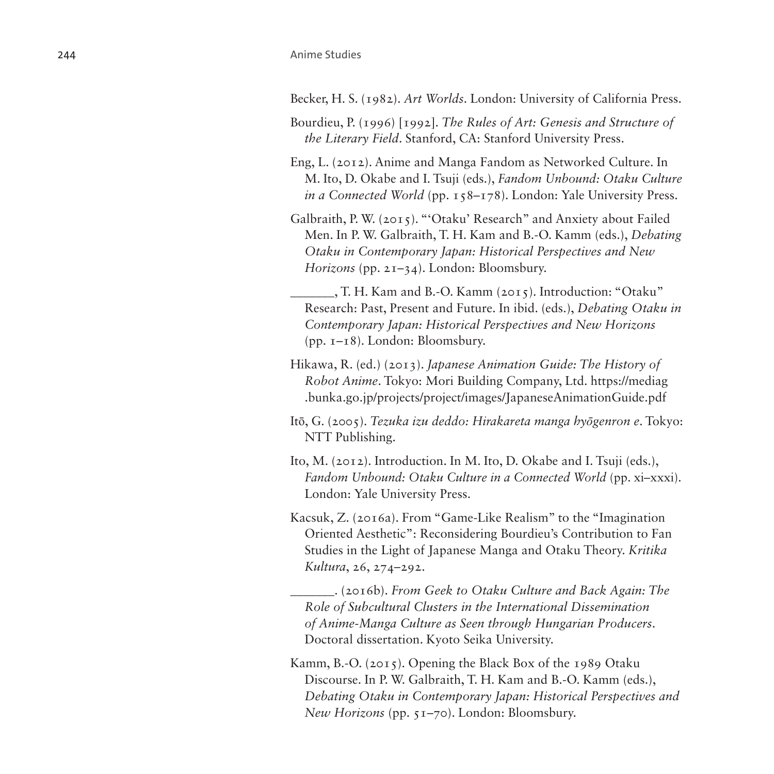#### 244 Anime Studies

Becker, H. S. (1982). *Art Worlds*. London: University of California Press.

- Bourdieu, P. (1996) [1992]. *The Rules of Art: Genesis and Structure of the Literary Field*. Stanford, CA: Stanford University Press.
- Eng, L. (2012). Anime and Manga Fandom as Networked Culture. In M. Ito, D. Okabe and I. Tsuji (eds.), *Fandom Unbound: Otaku Culture in a Connected World* (pp. 158–178). London: Yale University Press.
- Galbraith, P. W. (2015). "'Otaku' Research" and Anxiety about Failed Men. In P. W. Galbraith, T. H. Kam and B.-O. Kamm (eds.), *Debating Otaku in Contemporary Japan: Historical Perspectives and New Horizons* (pp. 21–34). London: Bloomsbury.
- \_\_\_\_\_\_\_, T. H. Kam and B.-O. Kamm (2015). Introduction: "Otaku" Research: Past, Present and Future. In ibid. (eds.), *Debating Otaku in Contemporary Japan: Historical Perspectives and New Horizons* (pp. 1–18). London: Bloomsbury.
- Hikawa, R. (ed.) (2013). *Japanese Animation Guide: The History of Robot Anime*. Tokyo: Mori Building Company, Ltd. [https://mediag](https://mediag.bunka.go.jp/projects/project/images/JapaneseAnimationGuide.pdf) [.bunka.go.jp/projects/project/images/JapaneseAnimationGuide.pdf](https://mediag.bunka.go.jp/projects/project/images/JapaneseAnimationGuide.pdf)
- Itō, G. (2005). *Tezuka izu deddo: Hirakareta manga hyōgenron e*. Tokyo: NTT Publishing.
- Ito, M. (2012). Introduction. In M. Ito, D. Okabe and I. Tsuji (eds.), Fandom Unbound: Otaku Culture in a Connected World (pp. xi-xxxi). London: Yale University Press.
- Kacsuk, Z. (2016a). From "Game-Like Realism" to the "Imagination Oriented Aesthetic": Reconsidering Bourdieu's Contribution to Fan Studies in the Light of Japanese Manga and Otaku Theory. *Kritika Kultura*, 26, 274–292.

\_\_\_\_\_\_\_. (2016b). *From Geek to Otaku Culture and Back Again: The Role of Subcultural Clusters in the International Dissemination of Anime-Manga Culture as Seen through Hungarian Producers*. Doctoral dissertation. Kyoto Seika University.

Kamm, B.-O. (2015). Opening the Black Box of the 1989 Otaku Discourse. In P. W. Galbraith, T. H. Kam and B.-O. Kamm (eds.), *Debating Otaku in Contemporary Japan: Historical Perspectives and New Horizons* (pp. 51–70). London: Bloomsbury.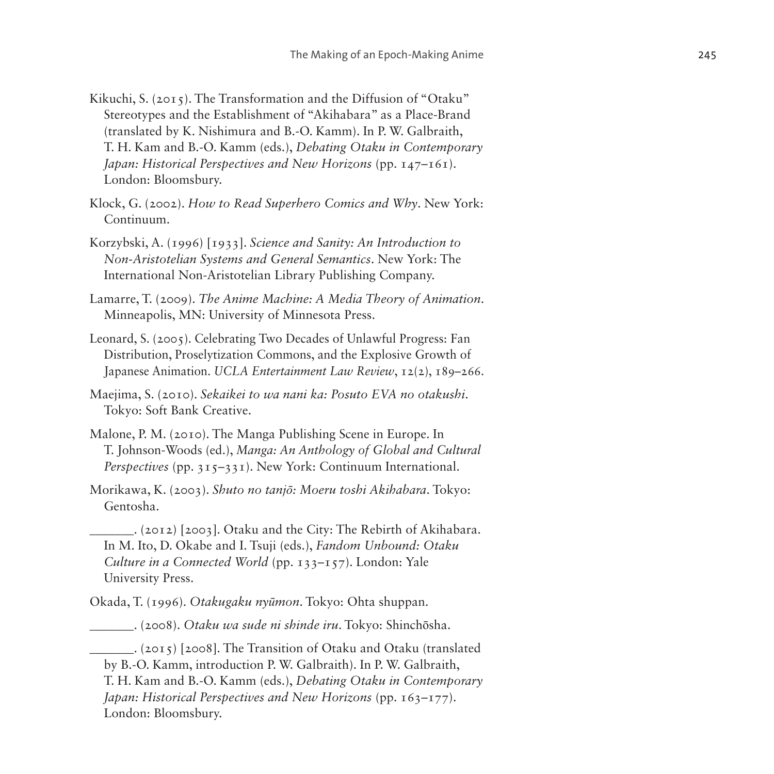- Kikuchi, S. (2015). The Transformation and the Diffusion of "Otaku" Stereotypes and the Establishment of "Akihabara" as a Place-Brand (translated by K. Nishimura and B.-O. Kamm). In P. W. Galbraith, T. H. Kam and B.-O. Kamm (eds.), *Debating Otaku in Contemporary Japan: Historical Perspectives and New Horizons* (pp. 147–161). London: Bloomsbury.
- Klock, G. (2002). *How to Read Superhero Comics and Why*. New York: Continuum.
- Korzybski, A. (1996) [1933]. *Science and Sanity: An Introduction to Non-Aristotelian Systems and General Semantics*. New York: The International Non-Aristotelian Library Publishing Company.
- Lamarre, T. (2009). *The Anime Machine: A Media Theory of Animation*. Minneapolis, MN: University of Minnesota Press.
- Leonard, S. (2005). Celebrating Two Decades of Unlawful Progress: Fan Distribution, Proselytization Commons, and the Explosive Growth of Japanese Animation. *UCLA Entertainment Law Review*, 12(2), 189–266.
- Maejima, S. (2010). *Sekaikei to wa nani ka: Posuto EVA no otakushi*. Tokyo: Soft Bank Creative.
- Malone, P. M. (2010). The Manga Publishing Scene in Europe. In T. Johnson-Woods (ed.), *Manga: An Anthology of Global and Cultural Perspectives* (pp. 315–331). New York: Continuum International.
- Morikawa, K. (2003). *Shuto no tanjō: Moeru toshi Akihabara*. Tokyo: Gentosha.
	- \_\_\_\_\_\_\_. (2012) [2003]. Otaku and the City: The Rebirth of Akihabara. In M. Ito, D. Okabe and I. Tsuji (eds.), *Fandom Unbound: Otaku Culture in a Connected World* (pp. 133–157). London: Yale University Press.
- Okada, T. (1996). *Otakugaku nyūmon*. Tokyo: Ohta shuppan.
- \_\_\_\_\_\_\_. (2008). *Otaku wa sude ni shinde iru*. Tokyo: Shinchōsha.

\_\_\_\_\_\_\_. (2015) [2008]. The Transition of Otaku and Otaku (translated by B.-O. Kamm, introduction P. W. Galbraith). In P. W. Galbraith, T. H. Kam and B.-O. Kamm (eds.), *Debating Otaku in Contemporary Japan: Historical Perspectives and New Horizons* (pp. 163–177). London: Bloomsbury.